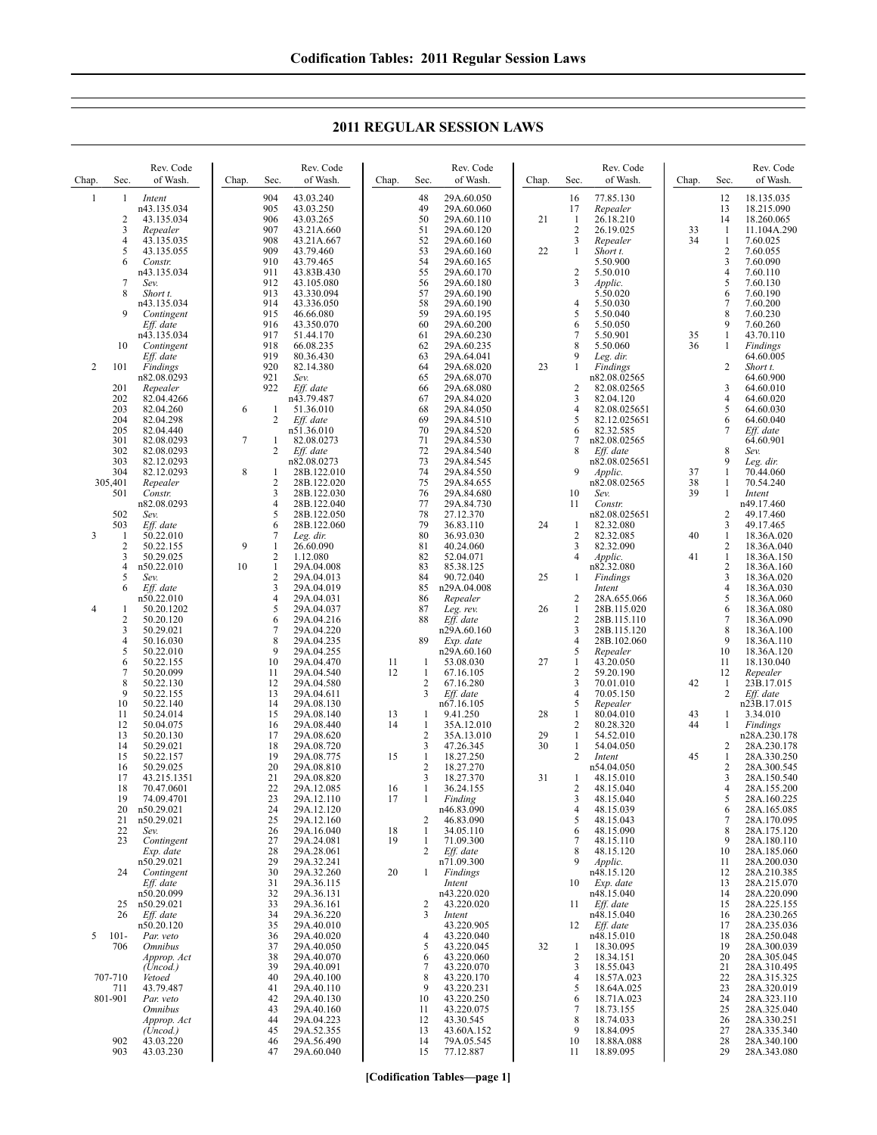| Chap.          | Sec.                    | Rev. Code<br>of Wash.                | Chap.  | Sec.                | Rev. Code<br>of Wash.      | Chap.    | Sec.                | Rev. Code<br>of Wash.    | Chap. | Sec.                           | Rev. Code<br>of Wash.        | Chap.    | Sec.                           | Rev. Code<br>of Wash.      |
|----------------|-------------------------|--------------------------------------|--------|---------------------|----------------------------|----------|---------------------|--------------------------|-------|--------------------------------|------------------------------|----------|--------------------------------|----------------------------|
| $\mathbf{1}$   | 1                       | Intent                               |        | 904                 | 43.03.240                  |          | 48                  | 29A.60.050               |       | 16                             | 77.85.130                    |          | 12                             | 18.135.035                 |
|                |                         | n43.135.034                          |        | 905                 | 43.03.250                  |          | 49                  | 29A.60.060               |       | 17                             | Repealer                     |          | 13                             | 18.215.090                 |
|                | $\overline{c}$          | 43.135.034                           |        | 906                 | 43.03.265                  |          | 50                  | 29A.60.110               | 21    | 1                              | 26.18.210                    |          | 14                             | 18.260.065                 |
|                | 3<br>4                  | Repealer                             |        | 907<br>908          | 43.21A.660                 |          | 51<br>52            | 29A.60.120               |       | $\overline{c}$<br>3            | 26.19.025                    | 33<br>34 | -1                             | 11.104A.290                |
|                | 5                       | 43.135.035<br>43.135.055             |        | 909                 | 43.21A.667<br>43.79.460    |          | 53                  | 29A.60.160<br>29A.60.160 | 22    | 1                              | Repealer<br>Short t.         |          | $\mathbf{1}$<br>$\overline{2}$ | 7.60.025<br>7.60.055       |
|                | 6                       | Constr.                              |        | 910                 | 43.79.465                  |          | 54                  | 29A.60.165               |       |                                | 5.50.900                     |          | 3                              | 7.60.090                   |
|                |                         | n43.135.034                          |        | 911                 | 43.83B.430                 |          | 55                  | 29A.60.170               |       | $\overline{c}$                 | 5.50.010                     |          | 4                              | 7.60.110                   |
|                | 7                       | Sev.                                 |        | 912                 | 43.105.080                 |          | 56                  | 29A.60.180               |       | 3                              | Applic.                      |          | 5                              | 7.60.130                   |
|                | 8                       | Short t.                             |        | 913                 | 43.330.094                 |          | 57                  | 29A.60.190               |       |                                | 5.50.020                     |          | 6                              | 7.60.190                   |
|                |                         | n43.135.034                          |        | 914                 | 43.336.050                 |          | 58                  | 29A.60.190               |       | $\overline{4}$                 | 5.50.030                     |          | 7                              | 7.60.200                   |
|                | 9                       | Contingent                           |        | 915                 | 46.66.080                  |          | 59                  | 29A.60.195               |       | 5                              | 5.50.040                     |          | 8                              | 7.60.230                   |
|                |                         | Eff. date<br>n43.135.034             |        | 916<br>917          | 43.350.070<br>51.44.170    |          | 60<br>61            | 29A.60.200<br>29A.60.230 |       | 6<br>$\tau$                    | 5.50.050<br>5.50.901         | 35       | 9<br>1                         | 7.60.260<br>43.70.110      |
|                | 10                      | Contingent                           |        | 918                 | 66.08.235                  |          | 62                  | 29A.60.235               |       | 8                              | 5.50.060                     | 36       | 1                              | Findings                   |
|                |                         | Eff. date                            |        | 919                 | 80.36.430                  |          | 63                  | 29A.64.041               |       | 9                              | Leg. dir.                    |          |                                | 64.60.005                  |
| 2              | 101                     | Findings                             |        | 920                 | 82.14.380                  |          | 64                  | 29A.68.020               | 23    | 1                              | Findings                     |          | 2                              | Short t.                   |
|                |                         | n82.08.0293                          |        | 921                 | Sev.                       |          | 65                  | 29A.68.070               |       |                                | n82.08.02565                 |          |                                | 64.60.900                  |
|                | 201                     | Repealer                             |        | 922                 | Eff. date                  |          | 66                  | 29A.68.080               |       | $\overline{c}$                 | 82.08.02565                  |          | 3                              | 64.60.010                  |
|                | 202                     | 82.04.4266                           |        |                     | n43.79.487                 |          | 67                  | 29A.84.020               |       | 3                              | 82.04.120                    |          | $\overline{4}$                 | 64.60.020                  |
|                | 203<br>204              | 82.04.260<br>82.04.298               | 6      | 1<br>$\overline{c}$ | 51.36.010<br>Eff. date     |          | 68<br>69            | 29A.84.050<br>29A.84.510 |       | $\overline{4}$<br>5            | 82.08.025651<br>82.12.025651 |          | 5<br>6                         | 64.60.030<br>64.60.040     |
|                | 205                     | 82.04.440                            |        |                     | n51.36.010                 |          | 70                  | 29A.84.520               |       | 6                              | 82.32.585                    |          | 7                              | Eff. date                  |
|                | 301                     | 82.08.0293                           | $\tau$ | 1                   | 82.08.0273                 |          | 71                  | 29A.84.530               |       | 7                              | n82.08.02565                 |          |                                | 64.60.901                  |
|                | 302                     | 82.08.0293                           |        | $\overline{c}$      | Eff. date                  |          | 72                  | 29A.84.540               |       | 8                              | Eff. date                    |          | 8                              | Sev.                       |
|                | 303                     | 82.12.0293                           |        |                     | n82.08.0273                |          | 73                  | 29A.84.545               |       |                                | n82.08.025651                |          | 9                              | Leg. dir.                  |
|                | 304                     | 82.12.0293                           | 8      | 1                   | 28B.122.010                |          | 74                  | 29A.84.550               |       | 9                              | Applic.                      | 37       | 1                              | 70.44.060                  |
|                | 305,401                 | Repealer                             |        | $\sqrt{2}$          | 28B.122.020                |          | 75                  | 29A.84.655               |       |                                | n82.08.02565                 | 38       | 1                              | 70.54.240                  |
|                | 501                     | Constr.<br>n82.08.0293               |        | 3<br>$\overline{4}$ | 28B.122.030<br>28B.122.040 |          | 76<br>77            | 29A.84.680<br>29A.84.730 |       | 10<br>11                       | Sev.                         | 39       | 1                              | Intent<br>n49.17.460       |
|                | 502                     | Sev.                                 |        | 5                   | 28B.122.050                |          | 78                  | 27.12.370                |       |                                | Constr.<br>n82.08.025651     |          | $\overline{2}$                 | 49.17.460                  |
|                | 503                     | Eff. date                            |        | 6                   | 28B.122.060                |          | 79                  | 36.83.110                | 24    | 1                              | 82.32.080                    |          | 3                              | 49.17.465                  |
| 3              | 1                       | 50.22.010                            |        | $\tau$              | Leg. dir.                  |          | 80                  | 36.93.030                |       | $\overline{c}$                 | 82.32.085                    | 40       | 1                              | 18.36A.020                 |
|                | $\overline{\mathbf{c}}$ | 50.22.155                            | 9      | 1                   | 26.60.090                  |          | 81                  | 40.24.060                |       | 3                              | 82.32.090                    |          | 2                              | 18.36A.040                 |
|                | 3                       | 50.29.025                            |        | $\mathbf{2}$        | 1.12.080                   |          | 82                  | 52.04.071                |       | 4                              | Applic.                      | 41       | 1                              | 18.36A.150                 |
|                | 4                       | n50.22.010                           | 10     | $\mathbf{1}$        | 29A.04.008                 |          | 83                  | 85.38.125                |       |                                | n82.32.080                   |          | $\boldsymbol{2}$               | 18.36A.160                 |
|                | 5                       | Sev.                                 |        | $\overline{c}$<br>3 | 29A.04.013                 |          | 84                  | 90.72.040                | 25    | 1                              | Findings                     |          | 3                              | 18.36A.020                 |
|                | 6                       | Eff. date<br>n50.22.010              |        | $\overline{4}$      | 29A.04.019<br>29A.04.031   |          | 85<br>86            | n29A.04.008<br>Repealer  |       | 2                              | Intent<br>28A.655.066        |          | 4<br>5                         | 18.36A.030<br>18.36A.060   |
| $\overline{4}$ | 1                       | 50.20.1202                           |        | 5                   | 29A.04.037                 |          | 87                  | Leg. rev.                | 26    | 1                              | 28B.115.020                  |          | 6                              | 18.36A.080                 |
|                | $\overline{\mathbf{c}}$ | 50.20.120                            |        | 6                   | 29A.04.216                 |          | 88                  | Eff. date                |       | $\overline{c}$                 | 28B.115.110                  |          | 7                              | 18.36A.090                 |
|                | 3                       | 50.29.021                            |        | $\tau$              | 29A.04.220                 |          |                     | n29A.60.160              |       | 3                              | 28B.115.120                  |          | 8                              | 18.36A.100                 |
|                | 4                       | 50.16.030                            |        | 8                   | 29A.04.235                 |          | 89                  | Exp. date                |       | 4                              | 28B.102.060                  |          | 9                              | 18.36A.110                 |
|                | 5                       | 50.22.010                            |        | 9                   | 29A.04.255                 |          |                     | n29A.60.160              |       | 5                              | Repealer                     |          | 10                             | 18.36A.120                 |
|                | 6                       | 50.22.155                            |        | 10                  | 29A.04.470                 | 11       | 1                   | 53.08.030                | 27    | $\mathbf{1}$                   | 43.20.050                    |          | 11                             | 18.130.040                 |
|                | 7<br>8                  | 50.20.099<br>50.22.130               |        | 11<br>12            | 29A.04.540<br>29A.04.580   | 12       | 1<br>$\overline{c}$ | 67.16.105<br>67.16.280   |       | $\overline{c}$<br>3            | 59.20.190<br>70.01.010       | 42       | 12<br>$\mathbf{1}$             | Repealer<br>23B.17.015     |
|                | 9                       | 50.22.155                            |        | 13                  | 29A.04.611                 |          | 3                   | Eff. date                |       | $\overline{4}$                 | 70.05.150                    |          | $\mathbf{2}$                   | Eff. date                  |
|                | 10                      | 50.22.140                            |        | 14                  | 29A.08.130                 |          |                     | n67.16.105               |       | 5                              | Repealer                     |          |                                | n23B.17.015                |
|                | 11                      | 50.24.014                            |        | 15                  | 29A.08.140                 | 13       | 1                   | 9.41.250                 | 28    | $\mathbf{1}$                   | 80.04.010                    | 43       | 1                              | 3.34.010                   |
|                | 12                      | 50.04.075                            |        | 16                  | 29A.08.440                 | 14       | $\mathbf{1}$        | 35A.12.010               |       | 2                              | 80.28.320                    | 44       | 1                              | Findings                   |
|                | 13                      | 50.20.130                            |        | 17                  | 29A.08.620                 |          | $\overline{c}$      | 35A.13.010               | 29    | $\mathbf{1}$                   | 54.52.010                    |          |                                | n28A.230.178               |
|                | 14<br>15                | 50.29.021<br>50.22.157               |        | 18<br>19            | 29A.08.720<br>29A.08.775   | 15       | 3<br>$\mathbf{1}$   | 47.26.345<br>18.27.250   | 30    | $\mathbf{1}$<br>$\overline{c}$ | 54.04.050                    | 45       | 2<br>1                         | 28A.230.178<br>28A.330.250 |
|                | 16                      | 50.29.025                            |        | 20                  | 29A.08.810                 |          | $\sqrt{2}$          | 18.27.270                |       |                                | Intent<br>n54.04.050         |          | 2                              | 28A.300.545                |
|                | 17                      | 43.215.1351                          |        | 21                  | 29A.08.820                 |          | 3                   | 18.27.370                | 31    | 1                              | 48.15.010                    |          | 3                              | 28A.150.540                |
|                | 18                      | 70.47.0601                           |        | 22                  | 29A.12.085                 | 16       | 1                   | 36.24.155                |       | 2                              | 48.15.040                    |          | 4                              | 28A.155.200                |
|                | 19                      | 74.09.4701                           |        | 23                  | 29A.12.110                 | 17       |                     | Finding                  |       | 3                              | 48.15.040                    |          | 5                              | 28A.160.225                |
|                | 20                      | n50.29.021                           |        | 24                  | 29A.12.120                 |          |                     | n46.83.090               |       | 4                              | 48.15.039                    |          | 6                              | 28A.165.085                |
|                | 21                      | n50.29.021                           |        | 25                  | 29A.12.160                 |          | 2                   | 46.83.090                |       | 5                              | 48.15.043                    |          | 7                              | 28A.170.095                |
|                | 22<br>23                | Sev.                                 |        | 26<br>27            | 29A.16.040<br>29A.24.081   | 18<br>19 | 1<br>1              | 34.05.110<br>71.09.300   |       | 6<br>7                         | 48.15.090<br>48.15.110       |          | 8<br>9                         | 28A.175.120<br>28A.180.110 |
|                |                         | Contingent<br>Exp. date              |        | 28                  | 29A.28.061                 |          | 2                   | Eff. date                |       | 8                              | 48.15.120                    |          | 10                             | 28A.185.060                |
|                |                         | n50.29.021                           |        | 29                  | 29A.32.241                 |          |                     | n71.09.300               |       | 9                              | Applic.                      |          | 11                             | 28A.200.030                |
|                | 24                      | Contingent                           |        | 30                  | 29A.32.260                 | 20       | $\mathbf{1}$        | Findings                 |       |                                | n48.15.120                   |          | 12                             | 28A.210.385                |
|                |                         | Eff. date                            |        | 31                  | 29A.36.115                 |          |                     | Intent                   |       | 10                             | Exp. date                    |          | 13                             | 28A.215.070                |
|                |                         | n50.20.099                           |        | 32                  | 29A.36.131                 |          |                     | n43.220.020              |       |                                | n48.15.040                   |          | 14                             | 28A.220.090                |
|                | 25                      | n50.29.021                           |        | 33                  | 29A.36.161                 |          | 2                   | 43.220.020               |       | 11                             | Eff. date                    |          | 15                             | 28A.225.155                |
|                | 26                      | Eff. date<br>n50.20.120              |        | 34<br>35            | 29A.36.220<br>29A.40.010   |          | 3                   | Intent<br>43.220.905     |       | 12                             | n48.15.040<br>Eff. date      |          | 16<br>17                       | 28A.230.265<br>28A.235.036 |
| 5              | $101 -$                 | Par. veto                            |        | 36                  | 29A.40.020                 |          | 4                   | 43.220.040               |       |                                | n48.15.010                   |          | 18                             | 28A.250.048                |
|                | 706                     | <i><b>Omnibus</b></i>                |        | 37                  | 29A.40.050                 |          | 5                   | 43.220.045               | 32    | -1                             | 18.30.095                    |          | 19                             | 28A.300.039                |
|                |                         | Approp. Act                          |        | 38                  | 29A.40.070                 |          | 6                   | 43.220.060               |       | 2                              | 18.34.151                    |          | 20                             | 28A.305.045                |
|                |                         | (Uncod.)                             |        | 39                  | 29A.40.091                 |          | $\tau$              | 43.220.070               |       | 3                              | 18.55.043                    |          | 21                             | 28A.310.495                |
|                | 707-710                 | Vetoed                               |        | 40                  | 29A.40.100                 |          | 8                   | 43.220.170               |       | 4                              | 18.57A.023                   |          | 22                             | 28A.315.325                |
|                | 711                     | 43.79.487                            |        | 41                  | 29A.40.110                 |          | 9                   | 43.220.231               |       | 5                              | 18.64A.025                   |          | 23                             | 28A.320.019                |
|                | 801-901                 | Par. veto                            |        | 42                  | 29A.40.130                 |          | 10                  | 43.220.250               |       | 6<br>7                         | 18.71A.023<br>18.73.155      |          | 24                             | 28A.323.110                |
|                |                         | <i><b>Omnibus</b></i><br>Approp. Act |        | 43<br>44            | 29A.40.160<br>29A.04.223   |          | 11<br>12            | 43.220.075<br>43.30.545  |       | 8                              | 18.74.033                    |          | 25<br>26                       | 28A.325.040<br>28A.330.251 |
|                |                         | (Uncod.)                             |        | 45                  | 29A.52.355                 |          | 13                  | 43.60A.152               |       | 9                              | 18.84.095                    |          | 27                             | 28A.335.340                |
|                | 902                     | 43.03.220                            |        | 46                  | 29A.56.490                 |          | 14                  | 79A.05.545               |       | 10                             | 18.88A.088                   |          | 28                             | 28A.340.100                |
|                | 903                     | 43.03.230                            |        | 47                  | 29A.60.040                 |          | 15                  | 77.12.887                |       | 11                             | 18.89.095                    |          | 29                             | 28A.343.080                |

## **2011 REGULAR SESSION LAWS**

**[Codification Tables—page 1]**

 $\overline{\phantom{a}}$ 

 $\overline{\phantom{a}}$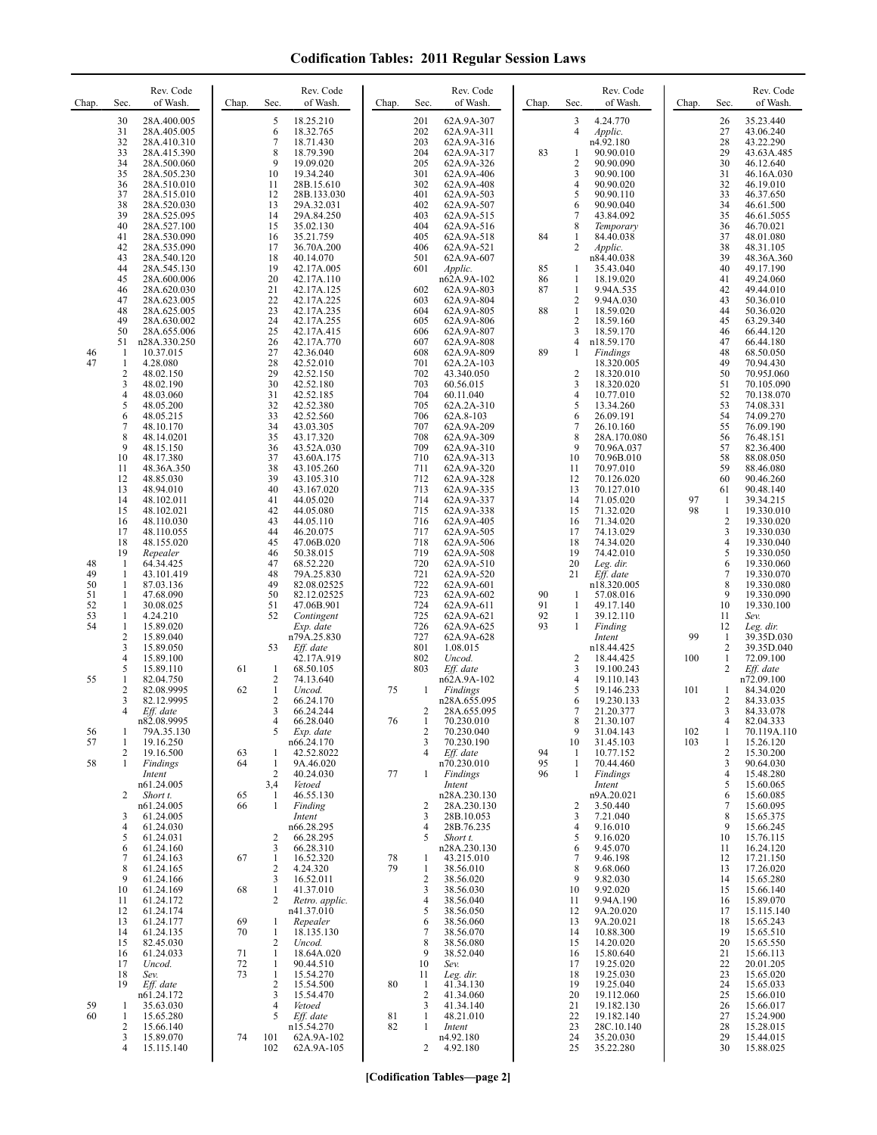| Chap.                      | Rev. Code<br>of Wash.<br>Sec.                                                                                                                                                      | Rev. Code<br>of Wash.<br>Chap.<br>Sec.                                                                                                                                             | Rev. Code<br>of Wash.<br>Chap.<br>Sec.                                                                                                                    | Rev. Code<br>of Wash.<br>Chap.<br>Sec.                                                                                                               | Rev. Code<br>of Wash.<br>Sec.<br>Chap.                                                                                                |
|----------------------------|------------------------------------------------------------------------------------------------------------------------------------------------------------------------------------|------------------------------------------------------------------------------------------------------------------------------------------------------------------------------------|-----------------------------------------------------------------------------------------------------------------------------------------------------------|------------------------------------------------------------------------------------------------------------------------------------------------------|---------------------------------------------------------------------------------------------------------------------------------------|
|                            | 30<br>28A.400.005<br>28A.405.005<br>31<br>32<br>28A.410.310<br>33<br>28A.415.390<br>34<br>28A.500.060<br>35<br>28A.505.230<br>36<br>28A.510.010                                    | 5<br>18.25.210<br>18.32.765<br>6<br>7<br>18.71.430<br>8<br>18.79.390<br>9<br>19.09.020<br>10<br>19.34.240<br>11<br>28B.15.610                                                      | 201<br>62A.9A-307<br>202<br>62A.9A-311<br>203<br>62A.9A-316<br>204<br>62A.9A-317<br>205<br>62A.9A-326<br>301<br>62A.9A-406<br>302<br>62A.9A-408           | 4.24.770<br>3<br>4<br>Applic.<br>n4.92.180<br>83<br>90.90.010<br>1<br>$\overline{\mathbf{c}}$<br>90.90.090<br>3<br>90.90.100<br>4<br>90.90.020       | 26<br>35.23.440<br>27<br>43.06.240<br>28<br>43.22.290<br>29<br>43.63A.485<br>30<br>46.12.640<br>31<br>46.16A.030<br>32<br>46.19.010   |
|                            | 37<br>28A.515.010<br>38<br>28A.520.030<br>39<br>28A.525.095<br>40<br>28A.527.100<br>41<br>28A.530.090<br>42<br>28A.535.090                                                         | 12<br>28B.133.030<br>13<br>29A.32.031<br>14<br>29A.84.250<br>15<br>35.02.130<br>16<br>35.21.759<br>17<br>36.70A.200                                                                | 401<br>62A.9A-503<br>402<br>62A.9A-507<br>403<br>62A.9A-515<br>404<br>62A.9A-516<br>405<br>62A.9A-518<br>406<br>62A.9A-521                                | 5<br>90.90.110<br>6<br>90.90.040<br>7<br>43.84.092<br>8<br>Temporary<br>84<br>84.40.038<br>1<br>$\overline{2}$<br>Applic.                            | 33<br>46.37.650<br>34<br>46.61.500<br>35<br>46.61.5055<br>36<br>46.70.021<br>37<br>48.01.080<br>38<br>48.31.105                       |
|                            | 43<br>28A.540.120<br>44<br>28A.545.130<br>45<br>28A.600.006<br>46<br>28A.620.030<br>47<br>28A.623.005<br>48<br>28A.625.005                                                         | 18<br>40.14.070<br>19<br>42.17A.005<br>20<br>42.17A.110<br>21<br>42.17A.125<br>22<br>42.17A.225<br>23<br>42.17A.235                                                                | 501<br>62A.9A-607<br>601<br>Applic.<br>n62A.9A-102<br>602<br>62A.9A-803<br>603<br>62A.9A-804<br>604<br>62A.9A-805                                         | n84.40.038<br>85<br>35.43.040<br>1<br>86<br>1<br>18.19.020<br>87<br>1<br>9.94A.535<br>$\overline{c}$<br>9.94A.030<br>88<br>$\mathbf{1}$<br>18.59.020 | 39<br>48.36A.360<br>40<br>49.17.190<br>41<br>49.24.060<br>42<br>49.44.010<br>43<br>50.36.010<br>44<br>50.36.020                       |
| 46<br>47                   | 49<br>28A.630.002<br>50<br>28A.655.006<br>51<br>n28A.330.250<br>$\mathbf{1}$<br>10.37.015<br>1<br>4.28.080<br>$\sqrt{2}$<br>48.02.150                                              | 24<br>42.17A.255<br>25<br>42.17A.415<br>26<br>42.17A.770<br>27<br>42.36.040<br>28<br>42.52.010<br>29<br>42.52.150                                                                  | 605<br>62A.9A-806<br>606<br>62A.9A-807<br>607<br>62A.9A-808<br>608<br>62A.9A-809<br>701<br>62A.2A-103<br>702<br>43.340.050                                | 2<br>18.59.160<br>3<br>18.59.170<br>4<br>n18.59.170<br>89<br>1<br>Findings<br>18.320.005<br>$\overline{c}$<br>18.320.010                             | 45<br>63.29.340<br>46<br>66.44.120<br>47<br>66.44.180<br>48<br>68.50.050<br>49<br>70.94.430<br>50<br>70.95J.060                       |
|                            | 3<br>48.02.190<br>4<br>48.03.060<br>5<br>48.05.200<br>48.05.215<br>6<br>7<br>48.10.170<br>8<br>48.14.0201<br>9<br>48.15.150                                                        | 30<br>42.52.180<br>31<br>42.52.185<br>32<br>42.52.380<br>33<br>42.52.560<br>34<br>43.03.305<br>35<br>43.17.320<br>36<br>43.52A.030                                                 | 703<br>60.56.015<br>704<br>60.11.040<br>705<br>62A.2A-310<br>706<br>62A.8-103<br>707<br>62A.9A-209<br>708<br>62A.9A-309<br>709<br>62A.9A-310              | 3<br>18.320.020<br>4<br>10.77.010<br>5<br>13.34.260<br>6<br>26.09.191<br>$\overline{7}$<br>26.10.160<br>8<br>28A.170.080<br>9<br>70.96A.037          | 51<br>70.105.090<br>52<br>70.138.070<br>53<br>74.08.331<br>54<br>74.09.270<br>55<br>76.09.190<br>56<br>76.48.151<br>57<br>82.36.400   |
|                            | 10<br>48.17.380<br>11<br>48.36A.350<br>12<br>48.85.030<br>13<br>48.94.010<br>14<br>48.102.011<br>15<br>48.102.021                                                                  | 37<br>43.60A.175<br>38<br>43.105.260<br>39<br>43.105.310<br>40<br>43.167.020<br>41<br>44.05.020<br>42<br>44.05.080                                                                 | 710<br>62A.9A-313<br>711<br>62A.9A-320<br>712<br>62A.9A-328<br>713<br>62A.9A-335<br>714<br>62A.9A-337<br>715<br>62A.9A-338                                | 10<br>70.96B.010<br>11<br>70.97.010<br>12<br>70.126.020<br>70.127.010<br>13<br>14<br>71.05.020<br>15<br>71.32.020                                    | 58<br>88.08.050<br>59<br>88.46.080<br>60<br>90.46.260<br>61<br>90.48.140<br>97<br>39.34.215<br>-1<br>98<br>19.330.010<br>1            |
| 48<br>49                   | 16<br>48.110.030<br>17<br>48.110.055<br>18<br>48.155.020<br>19<br>Repealer<br>$\mathbf{1}$<br>64.34.425<br>$\mathbf{1}$<br>43.101.419                                              | 43<br>44.05.110<br>44<br>46.20.075<br>45<br>47.06B.020<br>46<br>50.38.015<br>47<br>68.52.220<br>48<br>79A.25.830                                                                   | 716<br>62A.9A-405<br>717<br>62A.9A-505<br>718<br>62A.9A-506<br>719<br>62A.9A-508<br>720<br>62A.9A-510<br>721<br>62A.9A-520                                | 16<br>71.34.020<br>17<br>74.13.029<br>18<br>74.34.020<br>19<br>74.42.010<br>20<br>Leg. dir.<br>21<br>Eff. date                                       | 2<br>19.330.020<br>3<br>19.330.030<br>$\overline{4}$<br>19.330.040<br>5<br>19.330.050<br>6<br>19.330.060<br>7<br>19.330.070           |
| 50<br>51<br>52<br>53<br>54 | $\mathbf{1}$<br>87.03.136<br>1<br>47.68.090<br>$\mathbf{1}$<br>30.08.025<br>$\mathbf{1}$<br>4.24.210<br>$\mathbf{1}$<br>15.89.020<br>$\overline{2}$<br>15.89.040<br>3<br>15.89.050 | 49<br>82.08.02525<br>50<br>82.12.02525<br>51<br>47.06B.901<br>52<br>Contingent<br>Exp. date<br>n79A.25.830<br>Eff. date<br>53                                                      | 722<br>62A.9A-601<br>723<br>62A.9A-602<br>724<br>62A.9A-611<br>725<br>62A.9A-621<br>726<br>62A.9A-625<br>727<br>62A.9A-628<br>801<br>1.08.015             | n18.320.005<br>90<br>1<br>57.08.016<br>91<br>1<br>49.17.140<br>92<br>39.12.110<br>1<br>93<br>Finding<br>1<br>Intent<br>n18.44.425                    | 8<br>19.330.080<br>9<br>19.330.090<br>10<br>19.330.100<br>11<br>Sev.<br>12<br>Leg. dir.<br>99<br>39.35D.030<br>1<br>2<br>39.35D.040   |
| 55                         | $\overline{4}$<br>15.89.100<br>5<br>15.89.110<br>$\mathbf{1}$<br>82.04.750<br>$\overline{2}$<br>82.08.9995<br>3<br>82.12.9995<br>$\overline{4}$<br>Eff. date                       | 42.17A.919<br>61<br>$\mathbf{1}$<br>68.50.105<br>2<br>74.13.640<br>62<br>1<br>Uncod.<br>$\overline{c}$<br>66.24.170<br>3<br>66.24.244                                              | 802<br>Uncod.<br>803<br>Eff. date<br>n62A.9A-102<br>75<br>Findings<br>1<br>n28A.655.095<br>2<br>28A.655.095                                               | 2<br>18.44.425<br>3<br>19.100.243<br>4<br>19.110.143<br>5<br>19.146.233<br>6<br>19.230.133<br>7<br>21.20.377                                         | $\mathbf{1}$<br>100<br>72.09.100<br>2<br>Eff. date<br>n72.09.100<br>101<br>84.34.020<br>1<br>2<br>84.33.035<br>3<br>84.33.078         |
| 56<br>57<br>58             | n82.08.9995<br>79A.35.130<br>-1<br>19.16.250<br>$\mathbf{1}$<br>2<br>19.16.500<br>1<br>Findings<br>Intent                                                                          | 66.28.040<br>4<br>5<br>Exp. date<br>n66.24.170<br>42.52.8022<br>63<br>1<br>64<br>1<br>9A.46.020<br>$\overline{2}$<br>40.24.030                                                     | 76<br>70.230.010<br>1<br>$\overline{c}$<br>70.230.040<br>70.230.190<br>3<br>$\overline{4}$<br>Eff. date<br>n70.230.010<br>77<br>Findings<br>1             | 8<br>21.30.107<br>9<br>31.04.143<br>31.45.103<br>10<br>94<br>10.77.152<br>-1<br>95<br>70.44.460<br>1<br>96<br>1<br>Findings                          | 82.04.333<br>4<br>102<br>1<br>70.119A.110<br>103<br>15.26.120<br>1<br>2<br>15.30.200<br>3<br>90.64.030<br>$\overline{4}$<br>15.48.280 |
|                            | n61.24.005<br>2<br>Short t.<br>n61.24.005<br>61.24.005<br>3<br>$\overline{4}$<br>61.24.030<br>5<br>61.24.031<br>61.24.160<br>6                                                     | 3,4<br>Vetoed<br>46.55.130<br>65<br>$\mathbf{1}$<br>66<br>1<br>Finding<br>Intent<br>n66.28.295<br>66.28.295<br>2<br>3<br>66.28.310                                                 | Intent<br>n28A.230.130<br>28A.230.130<br>2<br>28B.10.053<br>3<br>4<br>28B.76.235<br>5<br>Short t.<br>n28A.230.130                                         | Intent<br>n9A.20.021<br>2<br>3.50.440<br>7.21.040<br>3<br>9.16.010<br>4<br>5<br>9.16.020<br>6<br>9.45.070                                            | 5<br>15.60.065<br>6<br>15.60.085<br>7<br>15.60.095<br>8<br>15.65.375<br>9<br>15.66.245<br>10<br>15.76.115<br>16.24.120<br>11          |
|                            | 7<br>61.24.163<br>8<br>61.24.165<br>9<br>61.24.166<br>10<br>61.24.169<br>11<br>61.24.172<br>61.24.174<br>12                                                                        | 67<br>$\mathbf{1}$<br>16.52.320<br>2<br>4.24.320<br>3<br>16.52.011<br>$\mathbf{1}$<br>41.37.010<br>68<br>2<br>Retro. applic.<br>n41.37.010                                         | 78<br>43.215.010<br>1<br>79<br>38.56.010<br>1<br>$\overline{c}$<br>38.56.020<br>3<br>38.56.030<br>38.56.040<br>4<br>5<br>38.56.050                        | 7<br>9.46.198<br>8<br>9.68.060<br>9<br>9.82.030<br>9.92.020<br>10<br>11<br>9.94A.190<br>9A.20.020<br>12                                              | 12<br>17.21.150<br>13<br>17.26.020<br>14<br>15.65.280<br>15<br>15.66.140<br>16<br>15.89.070<br>15.115.140<br>17                       |
|                            | 13<br>61.24.177<br>61.24.135<br>14<br>15<br>82.45.030<br>61.24.033<br>16<br>17<br>Uncod.<br>18<br>Sev.                                                                             | 69<br>Repealer<br>1<br>18.135.130<br>70<br>$\mathbf{1}$<br>$\overline{2}$<br>Uncod.<br>71<br>18.64A.020<br>$\mathbf{1}$<br>72<br>90.44.510<br>1<br>73<br>15.54.270<br>$\mathbf{1}$ | 38.56.060<br>6<br>38.56.070<br>7<br>8<br>38.56.080<br>9<br>38.52.040<br>10<br>Sev.<br>11<br>Leg. dir.                                                     | 9A.20.021<br>13<br>10.88.300<br>14<br>14.20.020<br>15<br>15.80.640<br>16<br>19.25.020<br>17<br>19.25.030<br>18                                       | 18<br>15.65.243<br>19<br>15.65.510<br>20<br>15.65.550<br>21<br>15.66.113<br>22<br>20.01.205<br>23<br>15.65.020<br>24                  |
| 59<br>60                   | 19<br>Eff. date<br>n61.24.172<br>35.63.030<br>-1<br>-1<br>15.65.280<br>$\sqrt{2}$<br>15.66.140<br>3<br>15.89.070<br>15.115.140<br>4                                                | 2<br>15.54.500<br>3<br>15.54.470<br>$\overline{4}$<br>Vetoed<br>5<br>Eff. date<br>n15.54.270<br>74<br>101<br>62A.9A-102<br>102<br>62A.9A-105                                       | 80<br>$\mathbf{1}$<br>41.34.130<br>2<br>41.34.060<br>3<br>41.34.140<br>48.21.010<br>81<br>1<br>82<br>$\mathbf{1}$<br>Intent<br>n4.92.180<br>4.92.180<br>2 | 19<br>19.25.040<br>20<br>19.112.060<br>21<br>19.182.130<br>22<br>19.182.140<br>23<br>28C.10.140<br>24<br>35.20.030<br>35.22.280<br>25                | 15.65.033<br>25<br>15.66.010<br>26<br>15.66.017<br>27<br>15.24.900<br>28<br>15.28.015<br>29<br>15.44.015<br>30<br>15.88.025           |

**[Codification Tables—page 2]**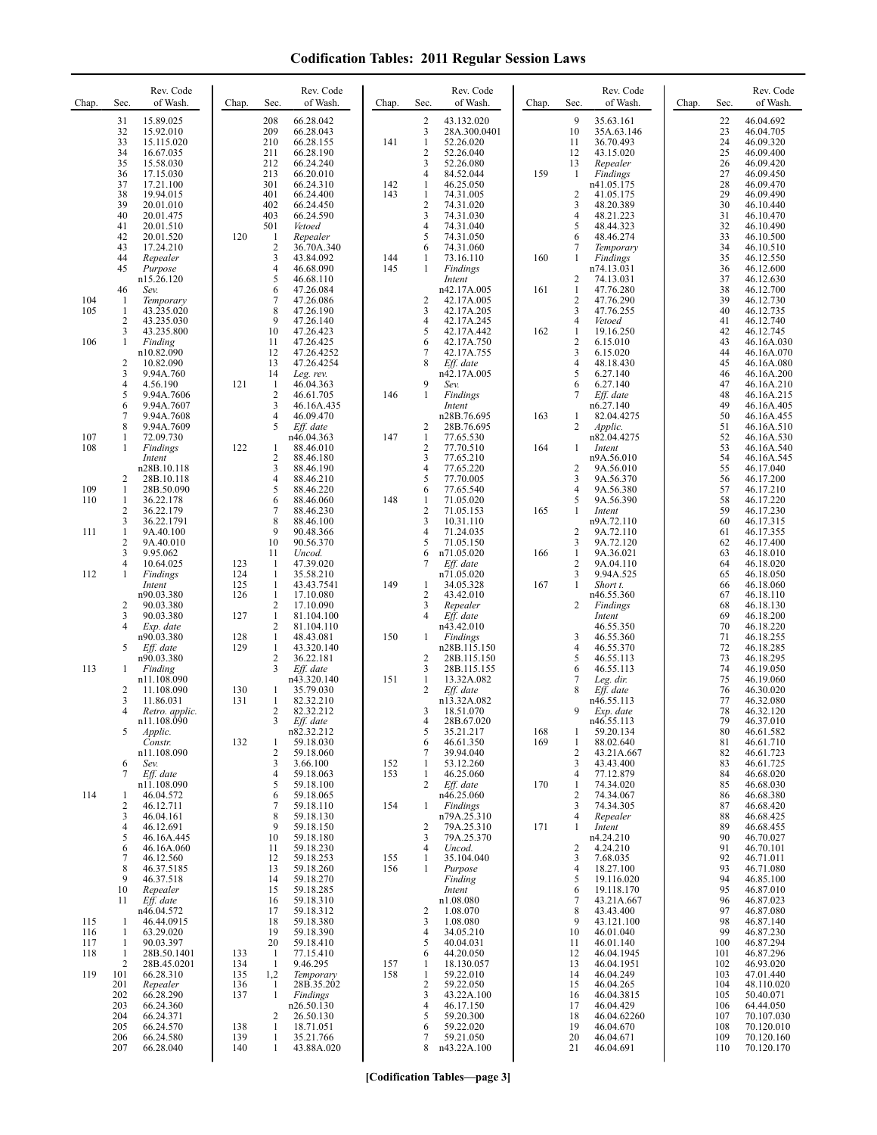| Chap.                    | Sec.                                                    | Rev. Code<br>of Wash.                                                        | Chap.                    | Sec.                                                                             | Rev. Code<br>of Wash.                                                     | Chap.      | Sec.                                            | Rev. Code<br>of Wash.                                                       | Chap.      | Sec.                                                            | Rev. Code<br>of Wash.                                                       | Chap. | Sec.                             | Rev. Code<br>of Wash.                                                      |
|--------------------------|---------------------------------------------------------|------------------------------------------------------------------------------|--------------------------|----------------------------------------------------------------------------------|---------------------------------------------------------------------------|------------|-------------------------------------------------|-----------------------------------------------------------------------------|------------|-----------------------------------------------------------------|-----------------------------------------------------------------------------|-------|----------------------------------|----------------------------------------------------------------------------|
|                          | 31<br>32<br>33<br>34<br>35                              | 15.89.025<br>15.92.010<br>15.115.020<br>16.67.035<br>15.58.030               |                          | 208<br>209<br>210<br>211<br>212                                                  | 66.28.042<br>66.28.043<br>66.28.155<br>66.28.190<br>66.24.240             | 141        | 2<br>3<br>$\mathbf{1}$<br>$\overline{c}$<br>3   | 43.132.020<br>28A.300.0401<br>52.26.020<br>52.26.040<br>52.26.080           |            | 9<br>10<br>11<br>12<br>13                                       | 35.63.161<br>35A.63.146<br>36.70.493<br>43.15.020<br>Repealer               |       | 22<br>23<br>24<br>25<br>26       | 46.04.692<br>46.04.705<br>46.09.320<br>46.09.400<br>46.09.420              |
|                          | 36<br>37<br>38<br>39<br>40                              | 17.15.030<br>17.21.100<br>19.94.015<br>20.01.010<br>20.01.475                |                          | 213<br>301<br>401<br>402<br>403                                                  | 66.20.010<br>66.24.310<br>66.24.400<br>66.24.450<br>66.24.590             | 142<br>143 | 4<br>1<br>$\mathbf{1}$<br>$\overline{c}$<br>3   | 84.52.044<br>46.25.050<br>74.31.005<br>74.31.020<br>74.31.030               | 159        | 1<br>$\overline{c}$<br>3<br>4                                   | Findings<br>n41.05.175<br>41.05.175<br>48.20.389<br>48.21.223               |       | 27<br>28<br>29<br>30<br>31       | 46.09.450<br>46.09.470<br>46.09.490<br>46.10.440<br>46.10.470              |
|                          | 41<br>42<br>43<br>44<br>45                              | 20.01.510<br>20.01.520<br>17.24.210<br>Repealer<br>Purpose                   | 120                      | 501<br>$\mathbf{1}$<br>$\sqrt{2}$<br>3<br>4                                      | Vetoed<br>Repealer<br>36.70A.340<br>43.84.092<br>46.68.090                | 144<br>145 | $\overline{4}$<br>5<br>6<br>1<br>$\mathbf{1}$   | 74.31.040<br>74.31.050<br>74.31.060<br>73.16.110<br>Findings                | 160        | 5<br>6<br>7<br>1                                                | 48.44.323<br>48.46.274<br>Temporary<br>Findings<br>n74.13.031               |       | 32<br>33<br>34<br>35<br>36       | 46.10.490<br>46.10.500<br>46.10.510<br>46.12.550<br>46.12.600              |
| 104<br>105               | 46<br>-1<br>1<br>2                                      | n15.26.120<br>Sev.<br>Temporary<br>43.235.020<br>43.235.030                  |                          | 5<br>6<br>7<br>8<br>9                                                            | 46.68.110<br>47.26.084<br>47.26.086<br>47.26.190<br>47.26.140             |            | $\overline{c}$<br>3<br>4                        | Intent<br>n42.17A.005<br>42.17A.005<br>42.17A.205<br>42.17A.245             | 161        | $\overline{c}$<br>1<br>$\overline{c}$<br>3<br>4                 | 74.13.031<br>47.76.280<br>47.76.290<br>47.76.255<br>Vetoed                  |       | 37<br>38<br>39<br>40<br>41       | 46.12.630<br>46.12.700<br>46.12.730<br>46.12.735<br>46.12.740              |
| 106                      | 3<br>1<br>2<br>3                                        | 43.235.800<br>Finding<br>n10.82.090<br>10.82.090<br>9.94A.760                |                          | 10<br>11<br>12<br>13<br>14                                                       | 47.26.423<br>47.26.425<br>47.26.4252<br>47.26.4254<br>Leg. rev.           |            | 5<br>6<br>7<br>8                                | 42.17A.442<br>42.17A.750<br>42.17A.755<br>Eff. date<br>n42.17A.005          | 162        | 1<br>$\overline{c}$<br>3<br>4<br>5                              | 19.16.250<br>6.15.010<br>6.15.020<br>48.18.430<br>6.27.140                  |       | 42<br>43<br>44<br>45<br>46       | 46.12.745<br>46.16A.030<br>46.16A.070<br>46.16A.080<br>46.16A.200          |
|                          | $\overline{4}$<br>5<br>6<br>7<br>8                      | 4.56.190<br>9.94A.7606<br>9.94A.7607<br>9.94A.7608<br>9.94A.7609             | 121                      | 1<br>$\overline{2}$<br>3<br>$\overline{4}$<br>5                                  | 46.04.363<br>46.61.705<br>46.16A.435<br>46.09.470<br>Eff. date            | 146        | 9<br>1<br>2                                     | Sev.<br>Findings<br>Intent<br>n28B.76.695<br>28B.76.695                     | 163        | 6<br>7<br>1<br>2                                                | 6.27.140<br>Eff. date<br>n6.27.140<br>82.04.4275<br>Applic.                 |       | 47<br>48<br>49<br>50<br>51       | 46.16A.210<br>46.16A.215<br>46.16A.405<br>46.16A.455<br>46.16A.510         |
| 107<br>108               | 1<br>1<br>2                                             | 72.09.730<br>Findings<br>Intent<br>n28B.10.118<br>28B.10.118                 | 122                      | 1<br>$\sqrt{2}$<br>3<br>$\overline{4}$                                           | n46.04.363<br>88.46.010<br>88.46.180<br>88.46.190<br>88.46.210            | 147        | $\mathbf{1}$<br>$\overline{c}$<br>3<br>4<br>5   | 77.65.530<br>77.70.510<br>77.65.210<br>77.65.220<br>77.70.005               | 164        | 1<br>$\overline{2}$<br>3                                        | n82.04.4275<br>Intent<br>n9A.56.010<br>9A.56.010<br>9A.56.370               |       | 52<br>53<br>54<br>55<br>56       | 46.16A.530<br>46.16A.540<br>46.16A.545<br>46.17.040<br>46.17.200           |
| 109<br>110<br>111        | 1<br>1<br>2<br>3<br>$\mathbf{1}$                        | 28B.50.090<br>36.22.178<br>36.22.179<br>36.22.1791<br>9A.40.100              |                          | 5<br>6<br>7<br>8<br>9                                                            | 88.46.220<br>88.46.060<br>88.46.230<br>88.46.100<br>90.48.366             | 148        | 6<br>1<br>$\overline{2}$<br>3<br>$\overline{4}$ | 77.65.540<br>71.05.020<br>71.05.153<br>10.31.110<br>71.24.035               | 165        | $\overline{4}$<br>5<br>$\mathbf{1}$<br>$\overline{\mathbf{c}}$  | 9A.56.380<br>9A.56.390<br>Intent<br>n9A.72.110<br>9A.72.110                 |       | 57<br>58<br>59<br>60<br>61       | 46.17.210<br>46.17.220<br>46.17.230<br>46.17.315<br>46.17.355              |
| 112                      | $\overline{c}$<br>$\mathfrak{Z}$<br>$\overline{4}$<br>1 | 9A.40.010<br>9.95.062<br>10.64.025<br>Findings<br>Intent                     | 123<br>124<br>125        | 10<br>11<br>-1<br>-1<br>1                                                        | 90.56.370<br>Uncod.<br>47.39.020<br>35.58.210<br>43.43.7541               | 149        | 5<br>6<br>7<br>1                                | 71.05.150<br>n71.05.020<br>Eff. date<br>n71.05.020<br>34.05.328             | 166<br>167 | 3<br>1<br>2<br>3<br>$\mathbf{1}$                                | 9A.72.120<br>9A.36.021<br>9A.04.110<br>9.94A.525<br>Short t.                |       | 62<br>63<br>64<br>65<br>66       | 46.17.400<br>46.18.010<br>46.18.020<br>46.18.050<br>46.18.060              |
|                          | 2<br>3<br>$\overline{4}$                                | n90.03.380<br>90.03.380<br>90.03.380<br>Exp. date<br>n90.03.380              | 126<br>127<br>128        | $\mathbf{1}$<br>$\overline{2}$<br>$\mathbf{1}$<br>$\overline{2}$<br>$\mathbf{1}$ | 17.10.080<br>17.10.090<br>81.104.100<br>81.104.110<br>48.43.081           | 150        | $\overline{c}$<br>3<br>4<br>1                   | 43.42.010<br>Repealer<br>Eff. date<br>n43.42.010<br>Findings                |            | 2<br>3                                                          | n46.55.360<br>Findings<br>Intent<br>46.55.350<br>46.55.360                  |       | 67<br>68<br>69<br>70<br>71       | 46.18.110<br>46.18.130<br>46.18.200<br>46.18.220<br>46.18.255              |
| 113                      | 5<br>1                                                  | Eff. date<br>n90.03.380<br>Finding<br>n11.108.090                            | 129                      | $\mathbf{1}$<br>$\overline{2}$<br>3                                              | 43.320.140<br>36.22.181<br>Eff. date<br>n43.320.140                       | 151        | 2<br>3<br>1                                     | n28B.115.150<br>28B.115.150<br>28B.115.155<br>13.32A.082                    |            | 4<br>5<br>6<br>7<br>8                                           | 46.55.370<br>46.55.113<br>46.55.113<br>Leg. dir.                            |       | 72<br>73<br>74<br>75             | 46.18.285<br>46.18.295<br>46.19.050<br>46.19.060                           |
|                          | 2<br>3<br>4<br>5                                        | 11.108.090<br>11.86.031<br>Retro. applic.<br>n11.108.090<br>Applic.          | 130<br>131               | 1<br>$\mathbf{1}$<br>$\overline{2}$<br>3                                         | 35.79.030<br>82.32.210<br>82.32.212<br>Eff. date<br>n82.32.212            |            | 2<br>3<br>4<br>5                                | Eff. date<br>n13.32A.082<br>18.51.070<br>28B.67.020<br>35.21.217            | 168        | 9<br>1                                                          | Eff. date<br>n46.55.113<br>Exp. date<br>n46.55.113<br>59.20.134             |       | 76<br>77<br>78<br>79<br>80       | 46.30.020<br>46.32.080<br>46.32.120<br>46.37.010<br>46.61.582              |
| 114                      | 6<br>7                                                  | Constr.<br>n11.108.090<br>Sev.<br>Eff. date<br>n11.108.090                   | 132                      | 1<br>2<br>3<br>4<br>5                                                            | 59.18.030<br>59.18.060<br>3.66.100<br>59.18.063<br>59.18.100<br>59.18.065 | 152<br>153 | 6<br>7<br>1<br>$\mathbf{1}$<br>2                | 46.61.350<br>39.94.040<br>53.12.260<br>46.25.060<br>Eff. date               | 169<br>170 | 1<br>$\overline{c}$<br>3<br>4<br>$\mathbf{1}$<br>$\overline{c}$ | 88.02.640<br>43.21A.667<br>43.43.400<br>77.12.879<br>74.34.020<br>74.34.067 |       | 81<br>82<br>83<br>84<br>85<br>86 | 46.61.710<br>46.61.723<br>46.61.725<br>46.68.020<br>46.68.030<br>46.68.380 |
|                          | 1<br>$\overline{2}$<br>3<br>4<br>5                      | 46.04.572<br>46.12.711<br>46.04.161<br>46.12.691<br>46.16A.445<br>46.16A.060 |                          | 6<br>7<br>8<br>9<br>10<br>11                                                     | 59.18.110<br>59.18.130<br>59.18.150<br>59.18.180<br>59.18.230             | 154        | $\mathbf{1}$<br>2<br>3<br>4                     | n46.25.060<br>Findings<br>n79A.25.310<br>79A.25.310<br>79A.25.370<br>Uncod. | 171        | 3<br>4<br>1<br>$\overline{c}$                                   | 74.34.305<br>Repealer<br>Intent<br>n4.24.210<br>4.24.210                    |       | 87<br>88<br>89<br>90<br>91       | 46.68.420<br>46.68.425<br>46.68.455<br>46.70.027<br>46.70.101              |
|                          | 6<br>7<br>8<br>9<br>10<br>11                            | 46.12.560<br>46.37.5185<br>46.37.518<br>Repealer<br>Eff. date                |                          | 12<br>13<br>14<br>15<br>16                                                       | 59.18.253<br>59.18.260<br>59.18.270<br>59.18.285<br>59.18.310             | 155<br>156 | 1<br>$\mathbf{1}$                               | 35.104.040<br>Purpose<br>Finding<br>Intent<br>n1.08.080                     |            | 3<br>4<br>5<br>6<br>7                                           | 7.68.035<br>18.27.100<br>19.116.020<br>19.118.170<br>43.21A.667             |       | 92<br>93<br>94<br>95<br>96       | 46.71.011<br>46.71.080<br>46.85.100<br>46.87.010<br>46.87.023              |
| 115<br>116<br>117<br>118 | 1<br>1<br>1<br>1                                        | n46.04.572<br>46.44.0915<br>63.29.020<br>90.03.397<br>28B.50.1401            | 133                      | 17<br>18<br>19<br>20<br>$\mathbf{1}$                                             | 59.18.312<br>59.18.380<br>59.18.390<br>59.18.410<br>77.15.410             |            | 2<br>3<br>$\overline{4}$<br>5<br>6              | 1.08.070<br>1.08.080<br>34.05.210<br>40.04.031<br>44.20.050                 |            | 8<br>9<br>10<br>11<br>12                                        | 43.43.400<br>43.121.100<br>46.01.040<br>46.01.140<br>46.04.1945             |       | 97<br>98<br>99<br>100<br>101     | 46.87.080<br>46.87.140<br>46.87.230<br>46.87.294<br>46.87.296              |
| 119                      | 2<br>101<br>201<br>202<br>203                           | 28B.45.0201<br>66.28.310<br>Repealer<br>66.28.290<br>66.24.360               | 134<br>135<br>136<br>137 | $\mathbf{1}$<br>1,2<br>1<br>$\mathbf{1}$                                         | 9.46.295<br>Temporary<br>28B.35.202<br>Findings<br>n26.50.130             | 157<br>158 | 1<br>$\mathbf{1}$<br>$\sqrt{2}$<br>3<br>4       | 18.130.057<br>59.22.010<br>59.22.050<br>43.22A.100<br>46.17.150             |            | 13<br>14<br>15<br>16<br>17                                      | 46.04.1951<br>46.04.249<br>46.04.265<br>46.04.3815<br>46.04.429             |       | 102<br>103<br>104<br>105<br>106  | 46.93.020<br>47.01.440<br>48.110.020<br>50.40.071<br>64.44.050             |
|                          | 204<br>205<br>206<br>207                                | 66.24.371<br>66.24.570<br>66.24.580<br>66.28.040                             | 138<br>139<br>140        | 2<br>$\mathbf{1}$<br>$\mathbf{1}$<br>$\mathbf{1}$                                | 26.50.130<br>18.71.051<br>35.21.766<br>43.88A.020                         |            | 5<br>6<br>7<br>8                                | 59.20.300<br>59.22.020<br>59.21.050<br>n43.22A.100                          |            | 18<br>19<br>20<br>21                                            | 46.04.62260<br>46.04.670<br>46.04.671<br>46.04.691                          |       | 107<br>108<br>109<br>110         | 70.107.030<br>70.120.010<br>70.120.160<br>70.120.170                       |

**[Codification Tables—page 3]**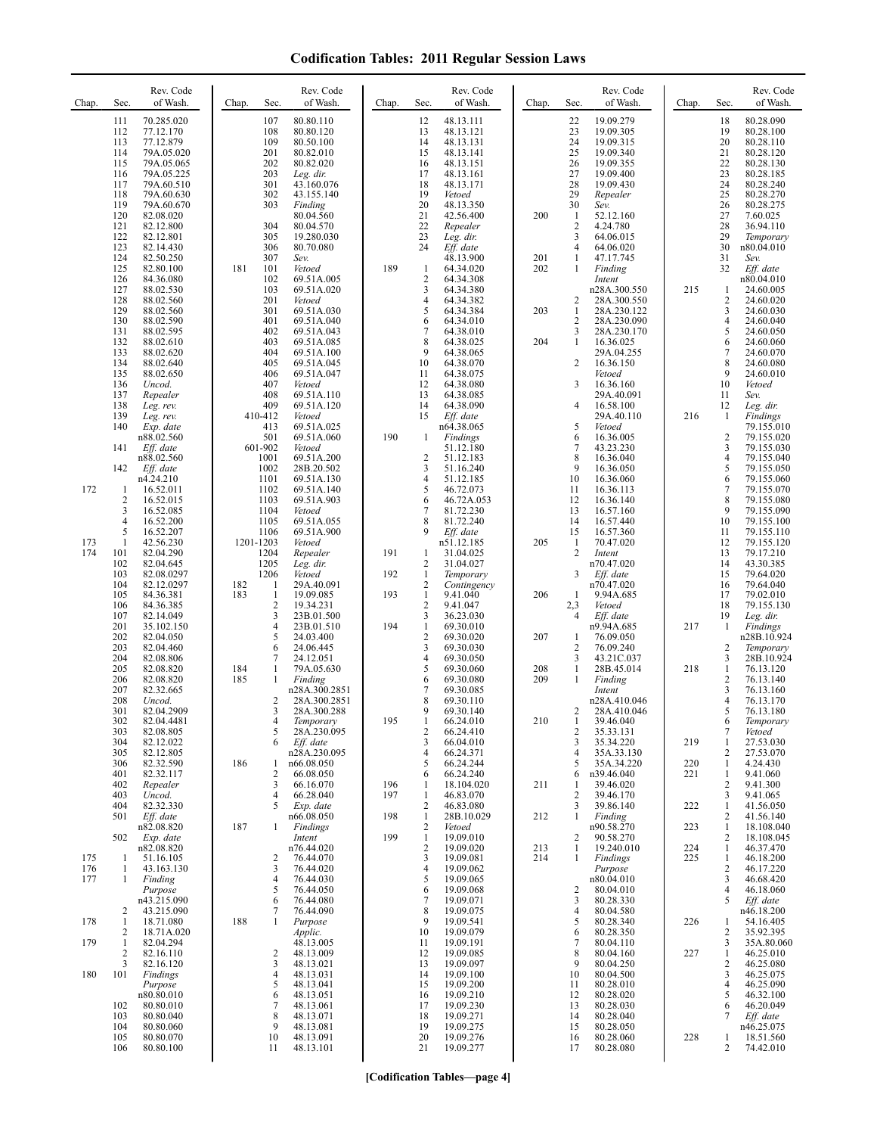| Chap.             | Rev. Code<br>Sec.<br>of Wash.                                                                                                                                                                                                                       | Rev. Code<br>Sec.<br>of Wash.<br>Chap.                                                                                                                                                                                                 | Chap.             | Rev. Code<br>Sec.<br>of Wash.                                                                                                                                                                                                      | Sec.<br>Chap.                                                                                            | Rev. Code<br>of Wash.                                                                                                                             | Chap.             | Rev. Code<br>Sec.<br>of Wash.                                                                                                                                                                                                         |
|-------------------|-----------------------------------------------------------------------------------------------------------------------------------------------------------------------------------------------------------------------------------------------------|----------------------------------------------------------------------------------------------------------------------------------------------------------------------------------------------------------------------------------------|-------------------|------------------------------------------------------------------------------------------------------------------------------------------------------------------------------------------------------------------------------------|----------------------------------------------------------------------------------------------------------|---------------------------------------------------------------------------------------------------------------------------------------------------|-------------------|---------------------------------------------------------------------------------------------------------------------------------------------------------------------------------------------------------------------------------------|
|                   | 111<br>70.285.020<br>112<br>77.12.170<br>113<br>77.12.879<br>114<br>79A.05.020<br>115<br>79A.05.065<br>79A.05.225<br>116<br>117<br>79A.60.510<br>118<br>79A.60.630<br>119<br>79A.60.670<br>82.08.020<br>120<br>121<br>82.12.800<br>122<br>82.12.801 | 107<br>80.80.110<br>108<br>80.80.120<br>109<br>80.50.100<br>201<br>80.82.010<br>202<br>80.82.020<br>203<br>Leg. dir.<br>301<br>43.160.076<br>302<br>43.155.140<br>303<br>Finding<br>80.04.560<br>304<br>80.04.570<br>305<br>19.280.030 |                   | 12<br>48.13.111<br>13<br>48.13.121<br>14<br>48.13.131<br>15<br>48.13.141<br>16<br>48.13.151<br>17<br>48.13.161<br>18<br>48.13.171<br>19<br>Vetoed<br>20<br>48.13.350<br>21<br>42.56.400<br>22<br>Repealer<br>23<br>Leg. dir.<br>24 | 22<br>23<br>24<br>25<br>26<br>27<br>28<br>29<br>30<br>200<br>-1<br>$\overline{2}$<br>3<br>$\overline{4}$ | 19.09.279<br>19.09.305<br>19.09.315<br>19.09.340<br>19.09.355<br>19.09.400<br>19.09.430<br>Repealer<br>Sev.<br>52.12.160<br>4.24.780<br>64.06.015 |                   | 18<br>80.28.090<br>19<br>80.28.100<br>20<br>80.28.110<br>21<br>80.28.120<br>22<br>80.28.130<br>23<br>80.28.185<br>24<br>80.28.240<br>25<br>80.28.270<br>26<br>80.28.275<br>27<br>7.60.025<br>28<br>36.94.110<br>29<br>Temporary<br>30 |
|                   | 123<br>82.14.430<br>124<br>82.50.250<br>125<br>82.80.100<br>126<br>84.36.080<br>127<br>88.02.530<br>128<br>88.02.560<br>129<br>88.02.560                                                                                                            | 306<br>80.70.080<br>307<br>Sev.<br>181<br>101<br>Vetoed<br>102<br>69.51A.005<br>103<br>69.51A.020<br>201<br>Vetoed<br>301<br>69.51A.030                                                                                                | 189               | Eff. date<br>48.13.900<br>$\mathbf{1}$<br>64.34.020<br>$\sqrt{2}$<br>64.34.308<br>3<br>64.34.380<br>4<br>64.34.382<br>5<br>64.34.384                                                                                               | 201<br>1<br>202<br>$\mathbf{1}$<br>2<br>203<br>$\mathbf{1}$                                              | 64.06.020<br>47.17.745<br>Finding<br>Intent<br>n28A.300.550<br>28A.300.550<br>28A.230.122                                                         | 215               | n80.04.010<br>31<br>Sev.<br>32<br>Eff. date<br>n80.04.010<br>24.60.005<br>1<br>$\overline{c}$<br>24.60.020<br>3<br>24.60.030                                                                                                          |
|                   | 130<br>88.02.590<br>131<br>88.02.595<br>132<br>88.02.610<br>133<br>88.02.620<br>134<br>88.02.640<br>135<br>88.02.650<br>136<br>Uncod.                                                                                                               | 401<br>69.51A.040<br>402<br>69.51A.043<br>403<br>69.51A.085<br>404<br>69.51A.100<br>405<br>69.51A.045<br>406<br>69.51A.047<br>407<br>Vetoed                                                                                            |                   | 64.34.010<br>6<br>$\overline{7}$<br>64.38.010<br>8<br>64.38.025<br>9<br>64.38.065<br>10<br>64.38.070<br>11<br>64.38.075<br>12<br>64.38.080                                                                                         | $\overline{2}$<br>3<br>204<br>$\mathbf{1}$<br>$\overline{2}$<br>3                                        | 28A.230.090<br>28A.230.170<br>16.36.025<br>29A.04.255<br>16.36.150<br>Vetoed<br>16.36.160                                                         |                   | $\overline{4}$<br>24.60.040<br>5<br>24.60.050<br>6<br>24.60.060<br>$\tau$<br>24.60.070<br>8<br>24.60.080<br>9<br>24.60.010<br>10<br>Vetoed                                                                                            |
|                   | 137<br>Repealer<br>138<br>Leg. rev.<br>139<br>Leg. rev.<br>Exp. date<br>140<br>n88.02.560<br>141<br>Eff. date<br>n88.02.560                                                                                                                         | 408<br>69.51A.110<br>409<br>69.51A.120<br>410-412<br>Vetoed<br>413<br>69.51A.025<br>501<br>69.51A.060<br>601-902<br>Vetoed<br>1001<br>69.51A.200                                                                                       | 190               | 13<br>64.38.085<br>64.38.090<br>14<br>15<br>Eff. date<br>n64.38.065<br>Findings<br>1<br>51.12.180<br>$\overline{2}$<br>51.12.183                                                                                                   | 4<br>5<br>6<br>$\overline{7}$<br>$\,$ 8 $\,$                                                             | 29A.40.091<br>16.58.100<br>29A.40.110<br>Vetoed<br>16.36.005<br>43.23.230<br>16.36.040                                                            | 216               | 11<br>Sev.<br>Leg. dir.<br>12<br>1<br>Findings<br>79.155.010<br>2<br>79.155.020<br>3<br>79.155.030<br>4<br>79.155.040                                                                                                                 |
| 172               | 142<br>Eff. date<br>n4.24.210<br>16.52.011<br>-1<br>$\overline{c}$<br>16.52.015<br>3<br>16.52.085<br>$\overline{4}$<br>16.52.200<br>5<br>16.52.207                                                                                                  | 1002<br>28B.20.502<br>1101<br>69.51A.130<br>1102<br>69.51A.140<br>1103<br>69.51A.903<br>1104<br>Vetoed<br>1105<br>69.51A.055<br>1106<br>69.51A.900                                                                                     |                   | 3<br>51.16.240<br>51.12.185<br>4<br>5<br>46.72.073<br>46.72A.053<br>6<br>7<br>81.72.230<br>81.72.240<br>8<br>9<br>Eff. date                                                                                                        | 9<br>10<br>11<br>12<br>13<br>14<br>15                                                                    | 16.36.050<br>16.36.060<br>16.36.113<br>16.36.140<br>16.57.160<br>16.57.440<br>16.57.360                                                           |                   | 5<br>79.155.050<br>6<br>79.155.060<br>$\tau$<br>79.155.070<br>8<br>79.155.080<br>9<br>79.155.090<br>10<br>79.155.100<br>11<br>79.155.110                                                                                              |
| 173<br>174        | 42.56.230<br>1<br>101<br>82.04.290<br>102<br>82.04.645<br>103<br>82.08.0297<br>104<br>82.12.0297<br>105<br>84.36.381<br>106<br>84.36.385                                                                                                            | 1201-1203<br>Vetoed<br>1204<br>Repealer<br>1205<br>Leg. dir.<br>1206<br>Vetoed<br>182<br>29A.40.091<br>1<br>183<br>$\mathbf{1}$<br>19.09.085<br>$\overline{2}$<br>19.34.231                                                            | 191<br>192<br>193 | n51.12.185<br>31.04.025<br>1<br>$\overline{\mathbf{c}}$<br>31.04.027<br>$\mathbf{1}$<br>Temporary<br>$\overline{\mathbf{c}}$<br>Contingency<br>$\mathbf{1}$<br>9.41.040<br>$\overline{2}$<br>9.41.047                              | 205<br>$\mathbf{1}$<br>$\overline{2}$<br>3<br>206<br>1<br>2,3                                            | 70.47.020<br>Intent<br>n70.47.020<br>$Eff.$ date<br>n70.47.020<br>9.94A.685<br>Vetoed                                                             |                   | 12<br>79.155.120<br>13<br>79.17.210<br>14<br>43.30.385<br>15<br>79.64.020<br>16<br>79.64.040<br>17<br>79.02.010<br>18<br>79.155.130                                                                                                   |
|                   | 107<br>82.14.049<br>201<br>35.102.150<br>202<br>82.04.050<br>203<br>82.04.460<br>204<br>82.08.806<br>205<br>82.08.820                                                                                                                               | 3<br>23B.01.500<br>$\overline{4}$<br>23B.01.510<br>5<br>24.03.400<br>6<br>24.06.445<br>7<br>24.12.051<br>184<br>79A.05.630<br>-1                                                                                                       | 194               | 3<br>36.23.030<br>$\mathbf{1}$<br>69.30.010<br>$\overline{2}$<br>69.30.020<br>3<br>69.30.030<br>69.30.050<br>4<br>69.30.060<br>5                                                                                                   | $\overline{4}$<br>207<br>1<br>$\overline{2}$<br>3<br>$\mathbf{1}$<br>208                                 | Eff. date<br>n9.94A.685<br>76.09.050<br>76.09.240<br>43.21C.037<br>28B.45.014                                                                     | 217<br>218        | 19<br>Leg. dir.<br>Findings<br>-1<br>n28B.10.924<br>2<br>Temporary<br>3<br>28B.10.924<br>$\mathbf{1}$<br>76.13.120                                                                                                                    |
|                   | 206<br>82.08.820<br>207<br>82.32.665<br>208<br>Uncod.<br>301<br>82.04.2909<br>302<br>82.04.4481<br>82.08.805<br>303<br>304<br>82.12.022                                                                                                             | 185<br>$\mathbf{1}$<br>Finding<br>n28A.300.2851<br>2<br>28A.300.2851<br>3<br>28A.300.288<br>4<br>Temporary<br>5<br>28A.230.095<br>6<br>Eff. date                                                                                       | 195               | 69.30.080<br>6<br>7<br>69.30.085<br>8<br>69.30.110<br>9<br>69.30.140<br>66.24.010<br>-1<br>66.24.410<br>2<br>3<br>66.04.010                                                                                                        | 209<br>1<br>$\overline{c}$<br>210<br>-1<br>$\overline{2}$<br>3                                           | Finding<br>Intent<br>n28A.410.046<br>28A.410.046<br>39.46.040<br>35.33.131<br>35.34.220                                                           | 219               | $\overline{c}$<br>76.13.140<br>3<br>76.13.160<br>4<br>76.13.170<br>5<br>76.13.180<br>6<br>Temporary<br>7<br>Vetoed<br>27.53.030<br>1                                                                                                  |
|                   | 305<br>82.12.805<br>306<br>82.32.590<br>401<br>82.32.117<br>402<br>Repealer<br>403<br>Uncod.<br>404<br>82.32.330                                                                                                                                    | n28A.230.095<br>186<br>n66.08.050<br>1<br>2<br>66.08.050<br>3<br>66.16.070<br>4<br>66.28.040<br>5<br>Exp. date                                                                                                                         | 196<br>197        | 66.24.371<br>4<br>66.24.244<br>5<br>66.24.240<br>6<br>18.104.020<br>1<br>1<br>46.83.070<br>$\sqrt{2}$<br>46.83.080                                                                                                                 | $\overline{4}$<br>5<br>6<br>211<br>-1<br>$\overline{2}$<br>3                                             | 35A.33.130<br>35A.34.220<br>n39.46.040<br>39.46.020<br>39.46.170<br>39.86.140                                                                     | 220<br>221<br>222 | 2<br>27.53.070<br>$\mathbf{1}$<br>4.24.430<br>9.41.060<br>1<br>$\overline{c}$<br>9.41.300<br>3<br>9.41.065<br>1<br>41.56.050                                                                                                          |
| 175<br>176<br>177 | 501<br>Eff. date<br>n82.08.820<br>502<br>Exp. date<br>n82.08.820<br>51.16.105<br>1<br>1<br>43.163.130<br>$\mathbf{1}$<br>Finding                                                                                                                    | n66.08.050<br>187<br>$\mathbf{1}$<br>Findings<br>Intent<br>n76.44.020<br>76.44.070<br>2<br>3<br>76.44.020<br>$\overline{4}$<br>76.44.030                                                                                               | 198<br>199        | $\mathbf{1}$<br>28B.10.029<br>$\sqrt{2}$<br>Vetoed<br>$\mathbf{1}$<br>19.09.010<br>$\overline{\mathbf{c}}$<br>19.09.020<br>19.09.081<br>3<br>19.09.062<br>4<br>5<br>19.09.065                                                      | 212<br>1<br>2<br>213<br>1<br>214<br>1                                                                    | Finding<br>n90.58.270<br>90.58.270<br>19.240.010<br>Findings<br>Purpose<br>n80.04.010                                                             | 223<br>224<br>225 | 2<br>41.56.140<br>18.108.040<br>1<br>2<br>18.108.045<br>46.37.470<br>1<br>1<br>46.18.200<br>2<br>46.17.220<br>3<br>46.68.420                                                                                                          |
| 178<br>179        | Purpose<br>n43.215.090<br>2<br>43.215.090<br>18.71.080<br>1<br>2<br>18.71A.020<br>1<br>82.04.294<br>2<br>82.16.110                                                                                                                                  | 5<br>76.44.050<br>6<br>76.44.080<br>7<br>76.44.090<br>188<br>1<br>Purpose<br>Applic.<br>48.13.005<br>48.13.009<br>2                                                                                                                    |                   | 19.09.068<br>6<br>7<br>19.09.071<br>8<br>19.09.075<br>19.09.541<br>9<br>10<br>19.09.079<br>19.09.191<br>11<br>12<br>19.09.085                                                                                                      | 2<br>3<br>$\overline{4}$<br>5<br>6<br>7<br>8                                                             | 80.04.010<br>80.28.330<br>80.04.580<br>80.28.340<br>80.28.350<br>80.04.110<br>80.04.160                                                           | 226<br>227        | 4<br>46.18.060<br>5<br>Eff. date<br>n46.18.200<br>54.16.405<br>1<br>$\overline{c}$<br>35.92.395<br>3<br>35A.80.060<br>$\mathbf{1}$<br>46.25.010                                                                                       |
| 180               | 82.16.120<br>3<br>101<br>Findings<br>Purpose<br>n80.80.010<br>102<br>80.80.010<br>80.80.040<br>103<br>104<br>80.80.060<br>105<br>80.80.070<br>106<br>80.80.100                                                                                      | 3<br>48.13.021<br>4<br>48.13.031<br>5<br>48.13.041<br>6<br>48.13.051<br>$\overline{7}$<br>48.13.061<br>8<br>48.13.071<br>9<br>48.13.081<br>10<br>48.13.091<br>11<br>48.13.101                                                          |                   | 19.09.097<br>13<br>14<br>19.09.100<br>19.09.200<br>15<br>19.09.210<br>16<br>19.09.230<br>17<br>19.09.271<br>18<br>19<br>19.09.275<br>19.09.276<br>20<br>21<br>19.09.277                                                            | 9<br>10<br>11<br>12<br>13<br>14<br>15<br>16<br>17                                                        | 80.04.250<br>80.04.500<br>80.28.010<br>80.28.020<br>80.28.030<br>80.28.040<br>80.28.050<br>80.28.060<br>80.28.080                                 | 228               | 2<br>46.25.080<br>3<br>46.25.075<br>$\overline{4}$<br>46.25.090<br>5<br>46.32.100<br>6<br>46.20.049<br>Eff. date<br>7<br>n46.25.075<br>18.51.560<br>1<br>2<br>74.42.010                                                               |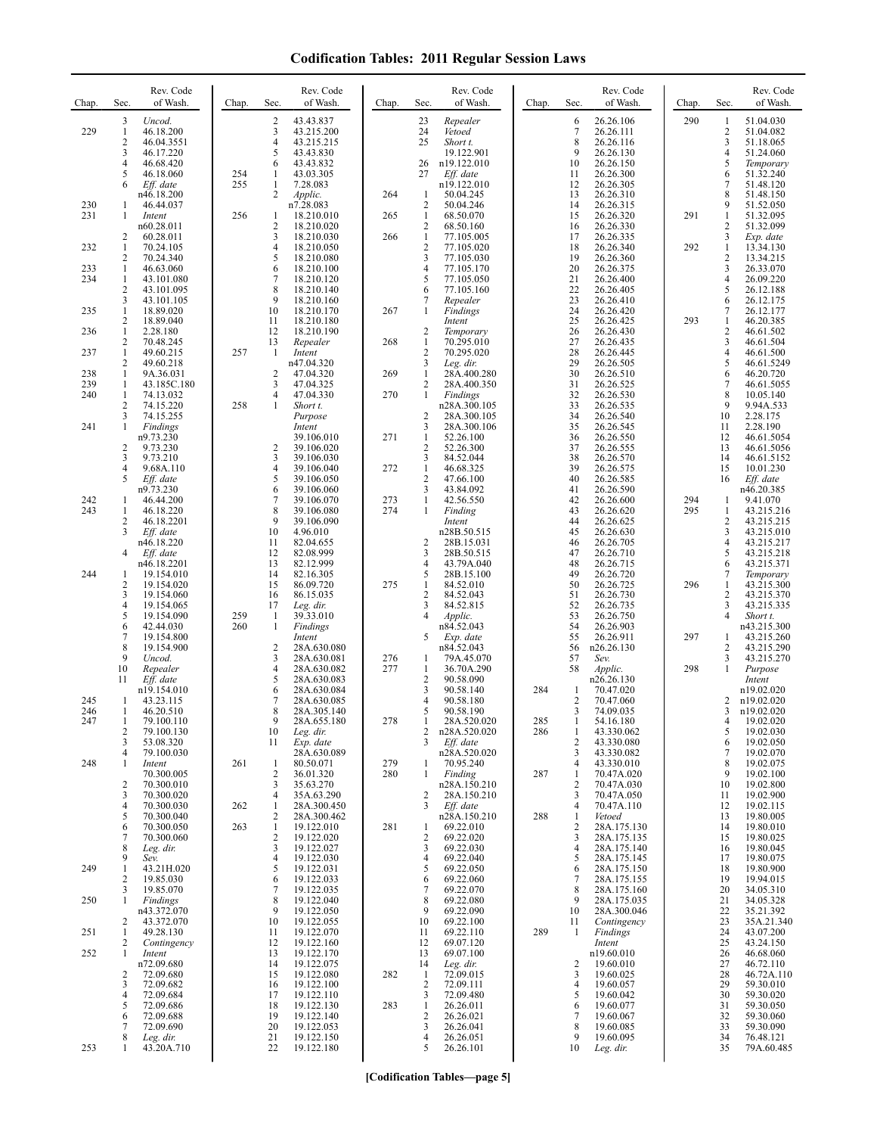| Chap.      | Sec.                         | Rev. Code<br>of Wash.     | Chap.      | Sec.                           | Rev. Code<br>of Wash.      | Chap.      | Sec.                             | Rev. Code<br>of Wash.       | Chap.      | Sec.                | Rev. Code<br>of Wash.      | Chap.      | Sec.                  | Rev. Code<br>of Wash.    |
|------------|------------------------------|---------------------------|------------|--------------------------------|----------------------------|------------|----------------------------------|-----------------------------|------------|---------------------|----------------------------|------------|-----------------------|--------------------------|
| 229        | 3<br>$\mathbf{1}$            | Uncod.<br>46.18.200       |            | $\overline{c}$<br>3            | 43.43.837<br>43.215.200    |            | 23<br>24                         | Repealer<br>Vetoed          |            | 6<br>$\tau$         | 26.26.106<br>26.26.111     | 290        | 1<br>$\boldsymbol{2}$ | 51.04.030<br>51.04.082   |
|            | 2<br>3                       | 46.04.3551<br>46.17.220   |            | 4<br>5                         | 43.215.215<br>43.43.830    |            | 25                               | Short t.<br>19.122.901      |            | 8<br>9              | 26.26.116<br>26.26.130     |            | 3<br>$\overline{4}$   | 51.18.065<br>51.24.060   |
|            | 4<br>5                       | 46.68.420<br>46.18.060    | 254        | 6<br>1                         | 43.43.832<br>43.03.305     |            | 26<br>27                         | n19.122.010<br>Eff. date    |            | 10<br>11            | 26.26.150<br>26.26.300     |            | 5<br>6                | Temporary<br>51.32.240   |
|            | 6                            | Eff. date<br>n46.18.200   | 255        | $\mathbf{1}$<br>$\overline{c}$ | 7.28.083<br>Applic.        | 264        | $\mathbf{1}$                     | n19.122.010<br>50.04.245    |            | 12<br>13            | 26.26.305<br>26.26.310     |            | 7<br>8                | 51.48.120<br>51.48.150   |
| 230<br>231 | -1<br>1                      | 46.44.037<br>Intent       | 256        |                                | n7.28.083                  | 265        | $\overline{c}$<br>$\mathbf{1}$   | 50.04.246<br>68.50.070      |            | 14<br>15            | 26.26.315<br>26.26.320     | 291        | 9<br>1                | 51.52.050<br>51.32.095   |
|            |                              | n60.28.011                |            | 1<br>$\sqrt{2}$                | 18.210.010<br>18.210.020   |            | $\overline{c}$                   | 68.50.160                   |            | 16                  | 26.26.330                  |            | $\overline{c}$        | 51.32.099                |
| 232        | 2<br>1                       | 60.28.011<br>70.24.105    |            | 3<br>4                         | 18.210.030<br>18.210.050   | 266        | $\mathbf{1}$<br>$\sqrt{2}$       | 77.105.005<br>77.105.020    |            | 17<br>18            | 26.26.335<br>26.26.340     | 292        | 3<br>1                | Exp. date<br>13.34.130   |
| 233        | 2<br>$\mathbf{1}$            | 70.24.340<br>46.63.060    |            | 5<br>6                         | 18.210.080<br>18.210.100   |            | $\mathfrak{Z}$<br>$\overline{4}$ | 77.105.030<br>77.105.170    |            | 19<br>20            | 26.26.360<br>26.26.375     |            | $\overline{c}$<br>3   | 13.34.215<br>26.33.070   |
| 234        | -1<br>2                      | 43.101.080<br>43.101.095  |            | 7<br>8                         | 18.210.120<br>18.210.140   |            | 5<br>6                           | 77.105.050<br>77.105.160    |            | 21<br>22            | 26.26.400<br>26.26.405     |            | $\overline{4}$<br>5   | 26.09.220<br>26.12.188   |
| 235        | 3<br>1                       | 43.101.105<br>18.89.020   |            | 9<br>10                        | 18.210.160<br>18.210.170   | 267        | 7<br>1                           | Repealer<br>Findings        |            | 23<br>24            | 26.26.410<br>26.26.420     |            | 6<br>7                | 26.12.175<br>26.12.177   |
| 236        | 2<br>$\mathbf{1}$            | 18.89.040<br>2.28.180     |            | 11<br>12                       | 18.210.180<br>18.210.190   |            | 2                                | Intent<br>Temporary         |            | 25<br>26            | 26.26.425<br>26.26.430     | 293        | $\mathbf{1}$<br>2     | 46.20.385<br>46.61.502   |
| 237        | 2<br>$\mathbf{1}$            | 70.48.245<br>49.60.215    | 257        | 13<br>-1                       | Repealer<br>Intent         | 268        | $\mathbf{1}$<br>$\overline{2}$   | 70.295.010<br>70.295.020    |            | 27<br>28            | 26.26.435<br>26.26.445     |            | 3<br>4                | 46.61.504<br>46.61.500   |
| 238        | 2<br>-1                      | 49.60.218<br>9A.36.031    |            | $\overline{2}$                 | n47.04.320<br>47.04.320    | 269        | 3<br>$\mathbf{1}$                | Leg. dir.<br>28A.400.280    |            | 29<br>30            | 26.26.505<br>26.26.510     |            | 5<br>6                | 46.61.5249<br>46.20.720  |
| 239<br>240 | $\mathbf{1}$<br>$\mathbf{1}$ | 43.185C.180<br>74.13.032  |            | 3<br>$\overline{4}$            | 47.04.325<br>47.04.330     | 270        | $\overline{2}$<br>1              | 28A.400.350<br>Findings     |            | 31<br>32            | 26.26.525<br>26.26.530     |            | 7<br>8                | 46.61.5055<br>10.05.140  |
|            | 2                            | 74.15.220                 | 258        | 1                              | Short t.                   |            |                                  | n28A.300.105                |            | 33                  | 26.26.535                  |            | 9                     | 9.94A.533                |
| 241        | 3<br>1                       | 74.15.255<br>Findings     |            |                                | Purpose<br>Intent          |            | $\overline{c}$<br>3              | 28A.300.105<br>28A.300.106  |            | 34<br>35            | 26.26.540<br>26.26.545     |            | 10<br>11              | 2.28.175<br>2.28.190     |
|            | 2                            | n9.73.230<br>9.73.230     |            | 2                              | 39.106.010<br>39.106.020   | 271        | $\mathbf{1}$<br>$\overline{2}$   | 52.26.100<br>52.26.300      |            | 36<br>37            | 26.26.550<br>26.26.555     |            | 12<br>13              | 46.61.5054<br>46.61.5056 |
|            | 3<br>4                       | 9.73.210<br>9.68A.110     |            | 3<br>4                         | 39.106.030<br>39.106.040   | 272        | $\mathbf{3}$<br>$\mathbf{1}$     | 84.52.044<br>46.68.325      |            | 38<br>39            | 26.26.570<br>26.26.575     |            | 14<br>15              | 46.61.5152<br>10.01.230  |
|            | 5                            | Eff. date<br>n9.73.230    |            | 5<br>6                         | 39.106.050<br>39.106.060   |            | $\overline{2}$<br>3              | 47.66.100<br>43.84.092      |            | 40<br>41            | 26.26.585<br>26.26.590     |            | 16                    | Eff. date<br>n46.20.385  |
| 242<br>243 | 1<br>$\mathbf{1}$            | 46.44.200<br>46.18.220    |            | 7<br>8                         | 39.106.070<br>39.106.080   | 273<br>274 | $\mathbf{1}$<br>1                | 42.56.550<br>Finding        |            | 42<br>43            | 26.26.600<br>26.26.620     | 294<br>295 | 1<br>$\mathbf{1}$     | 9.41.070<br>43.215.216   |
|            | 2<br>3                       | 46.18.2201<br>Eff. date   |            | 9<br>10                        | 39.106.090<br>4.96.010     |            |                                  | Intent<br>n28B.50.515       |            | 44<br>45            | 26.26.625<br>26.26.630     |            | 2<br>3                | 43.215.215<br>43.215.010 |
|            | 4                            | n46.18.220<br>Eff. date   |            | 11<br>12                       | 82.04.655<br>82.08.999     |            | $\overline{2}$<br>3              | 28B.15.031<br>28B.50.515    |            | 46<br>47            | 26.26.705<br>26.26.710     |            | 4<br>5                | 43.215.217<br>43.215.218 |
| 244        | -1                           | n46.18.2201<br>19.154.010 |            | 13<br>14                       | 82.12.999<br>82.16.305     |            | 4<br>5                           | 43.79A.040<br>28B.15.100    |            | 48<br>49            | 26.26.715<br>26.26.720     |            | 6<br>7                | 43.215.371<br>Temporary  |
|            | 2<br>3                       | 19.154.020<br>19.154.060  |            | 15<br>16                       | 86.09.720<br>86.15.035     | 275        | $\mathbf{1}$<br>$\overline{2}$   | 84.52.010<br>84.52.043      |            | 50<br>51            | 26.26.725<br>26.26.730     | 296        | 1<br>$\overline{c}$   | 43.215.300<br>43.215.370 |
|            | 4                            | 19.154.065                |            | 17                             | Leg. dir.                  |            | 3                                | 84.52.815                   |            | 52                  | 26.26.735                  |            | 3                     | 43.215.335               |
|            | 5<br>6                       | 19.154.090<br>42.44.030   | 259<br>260 | 1<br>1                         | 39.33.010<br>Findings      |            | 4                                | Applic.<br>n84.52.043       |            | 53<br>54            | 26.26.750<br>26.26.903     |            | $\overline{4}$        | Short t.<br>n43.215.300  |
|            | 7<br>8                       | 19.154.800<br>19.154.900  |            | $\overline{c}$                 | Intent<br>28A.630.080      |            | 5                                | Exp. date<br>n84.52.043     |            | 55<br>56            | 26.26.911<br>n26.26.130    | 297        | 1<br>2                | 43.215.260<br>43.215.290 |
|            | 9<br>10                      | Uncod.<br>Repealer        |            | 3<br>4                         | 28A.630.081<br>28A.630.082 | 276<br>277 | 1<br>1                           | 79A.45.070<br>36.70A.290    |            | 57<br>58            | Sev.<br>Applic.            | 298        | 3<br>1                | 43.215.270<br>Purpose    |
|            | 11                           | Eff. date<br>n19.154.010  |            | 5<br>6                         | 28A.630.083<br>28A.630.084 |            | $\sqrt{2}$<br>3                  | 90.58.090<br>90.58.140      | 284        | 1                   | n26.26.130<br>70.47.020    |            |                       | Intent<br>n19.02.020     |
| 245<br>246 | -1<br>-1                     | 43.23.115<br>46.20.510    |            | 7<br>8                         | 28A.630.085<br>28A.305.140 |            | $\overline{4}$<br>5              | 90.58.180<br>90.58.190      |            | $\overline{c}$<br>3 | 70.47.060<br>74.09.035     |            | 2<br>3                | n19.02.020<br>n19.02.020 |
| 247        | 1<br>2                       | 79.100.110<br>79.100.130  |            | 10                             | 28A.655.180<br>Leg. dir.   | 278        | -1<br>2                          | 28A.520.020<br>n28A.520.020 | 285<br>286 | -1<br>1             | 54.16.180<br>43.330.062    |            | 4<br>5                | 19.02.020<br>19.02.030   |
|            | 3<br>4                       | 53.08.320<br>79.100.030   |            | 11                             | Exp. date<br>28A.630.089   |            | 3                                | Eff. date<br>n28A.520.020   |            | $\overline{2}$<br>3 | 43.330.080<br>43.330.082   |            | 6<br>7                | 19.02.050<br>19.02.070   |
| 248        | 1                            | Intent<br>70.300.005      | 261        | 1<br>2                         | 80.50.071<br>36.01.320     | 279<br>280 | 1<br>1                           | 70.95.240<br>Finding        | 287        | 4<br>1              | 43.330.010<br>70.47A.020   |            | 8<br>9                | 19.02.075<br>19.02.100   |
|            | 2<br>3                       | 70.300.010<br>70.300.020  |            | 3<br>4                         | 35.63.270<br>35A.63.290    |            | 2                                | n28A.150.210<br>28A.150.210 |            | $\overline{c}$<br>3 | 70.47A.030<br>70.47A.050   |            | 10<br>11              | 19.02.800<br>19.02.900   |
|            | 4<br>5                       | 70.300.030<br>70.300.040  | 262        | 1<br>2                         | 28A.300.450<br>28A.300.462 |            | 3                                | Eff. date<br>n28A.150.210   | 288        | 4<br>1              | 70.47A.110<br>Vetoed       |            | 12<br>13              | 19.02.115<br>19.80.005   |
|            | 6                            | 70.300.050                | 263        | $\mathbf{1}$<br>$\overline{2}$ | 19.122.010<br>19.122.020   | 281        | 1<br>2                           | 69.22.010                   |            | $\overline{c}$<br>3 | 28A.175.130                |            | 14<br>15              | 19.80.010                |
|            | 7<br>8                       | 70.300.060<br>Leg. dir.   |            | 3                              | 19.122.027                 |            | 3                                | 69.22.020<br>69.22.030      |            | 4                   | 28A.175.135<br>28A.175.140 |            | 16                    | 19.80.025<br>19.80.045   |
| 249        | 9<br>1                       | Sev.<br>43.21H.020        |            | 4<br>5                         | 19.122.030<br>19.122.031   |            | $\overline{4}$<br>5              | 69.22.040<br>69.22.050      |            | 5<br>6              | 28A.175.145<br>28A.175.150 |            | 17<br>18              | 19.80.075<br>19.80.900   |
|            | 2<br>3                       | 19.85.030<br>19.85.070    |            | 6<br>7                         | 19.122.033<br>19.122.035   |            | 6<br>7                           | 69.22.060<br>69.22.070      |            | 7<br>8              | 28A.175.155<br>28A.175.160 |            | 19<br>20              | 19.94.015<br>34.05.310   |
| 250        | -1                           | Findings<br>n43.372.070   |            | 8<br>9                         | 19.122.040<br>19.122.050   |            | 8<br>9                           | 69.22.080<br>69.22.090      |            | 9<br>10             | 28A.175.035<br>28A.300.046 |            | 21<br>22              | 34.05.328<br>35.21.392   |
| 251        | 2<br>1                       | 43.372.070<br>49.28.130   |            | 10<br>11                       | 19.122.055<br>19.122.070   |            | 10<br>11                         | 69.22.100<br>69.22.110      | 289        | 11<br>1             | Contingency<br>Findings    |            | 23<br>24              | 35A.21.340<br>43.07.200  |
| 252        | 2<br>1                       | Contingency<br>Intent     |            | 12<br>13                       | 19.122.160<br>19.122.170   |            | 12<br>13                         | 69.07.120<br>69.07.100      |            |                     | Intent<br>n19.60.010       |            | 25<br>26              | 43.24.150<br>46.68.060   |
|            | 2                            | n72.09.680<br>72.09.680   |            | 14<br>15                       | 19.122.075<br>19.122.080   | 282        | 14<br>1                          | Leg. dir.<br>72.09.015      |            | 2<br>3              | 19.60.010<br>19.60.025     |            | 27<br>28              | 46.72.110<br>46.72A.110  |
|            | 3<br>4                       | 72.09.682<br>72.09.684    |            | 16<br>17                       | 19.122.100<br>19.122.110   |            | $\overline{2}$<br>3              | 72.09.111<br>72.09.480      |            | 4<br>5              | 19.60.057<br>19.60.042     |            | 29<br>30              | 59.30.010<br>59.30.020   |
|            | 5<br>6                       | 72.09.686<br>72.09.688    |            | 18<br>19                       | 19.122.130<br>19.122.140   | 283        | $\mathbf{1}$<br>$\overline{c}$   | 26.26.011<br>26.26.021      |            | 6<br>7              | 19.60.077<br>19.60.067     |            | 31<br>32              | 59.30.050<br>59.30.060   |
|            | 7<br>8                       | 72.09.690<br>Leg. dir.    |            | 20<br>21                       | 19.122.053<br>19.122.150   |            | 3<br>$\overline{4}$              | 26.26.041<br>26.26.051      |            | 8<br>9              | 19.60.085<br>19.60.095     |            | 33<br>34              | 59.30.090<br>76.48.121   |
| 253        | 1                            | 43.20A.710                |            | 22                             | 19.122.180                 |            | 5                                | 26.26.101                   |            | 10                  | Leg. dir.                  |            | 35                    | 79A.60.485               |

**[Codification Tables—page 5]**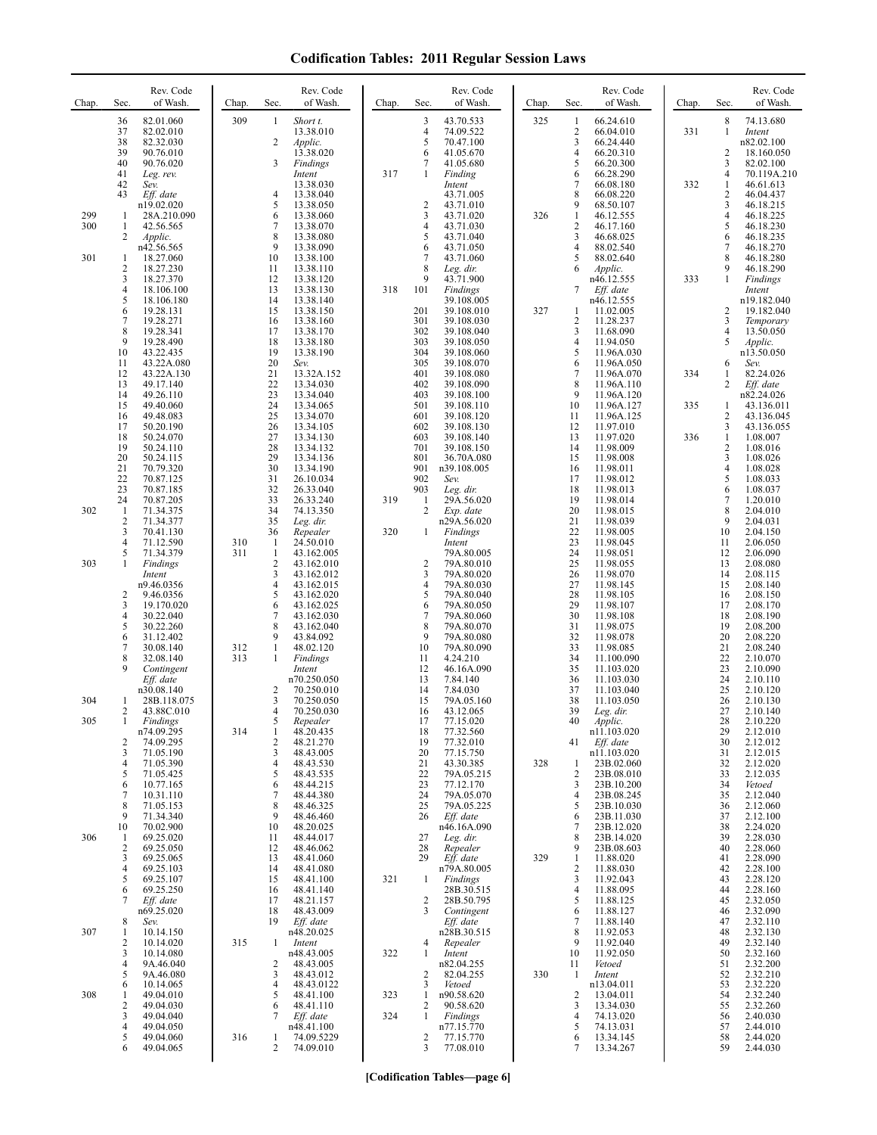| Chap.      | Sec.                                  | Rev. Code<br>of Wash.                                                       | Chap.      | Sec.                                                | Rev. Code<br>of Wash.                                                      | Chap. | Sec.                                     | Rev. Code<br>of Wash.                                                            | Chap. | Sec.                                                       | Rev. Code<br>of Wash.                                                        | Chap.      | Sec.                                                | Rev. Code<br>of Wash.                                                        |
|------------|---------------------------------------|-----------------------------------------------------------------------------|------------|-----------------------------------------------------|----------------------------------------------------------------------------|-------|------------------------------------------|----------------------------------------------------------------------------------|-------|------------------------------------------------------------|------------------------------------------------------------------------------|------------|-----------------------------------------------------|------------------------------------------------------------------------------|
|            | 36<br>37<br>38<br>39<br>40            | 82.01.060<br>82.02.010<br>82.32.030<br>90.76.010<br>90.76.020               | 309        | 1<br>2<br>3                                         | Short t.<br>13.38.010<br>Applic.<br>13.38.020<br>Findings                  |       | 3<br>4<br>5<br>6<br>7                    | 43.70.533<br>74.09.522<br>70.47.100<br>41.05.670<br>41.05.680                    | 325   | 1<br>$\sqrt{2}$<br>3<br>$\overline{4}$<br>5                | 66.24.610<br>66.04.010<br>66.24.440<br>66.20.310<br>66.20.300                | 331        | 8<br>1<br>$\overline{2}$<br>3                       | 74.13.680<br>Intent<br>n82.02.100<br>18.160.050<br>82.02.100                 |
|            | 41<br>42<br>43                        | Leg. rev.<br>Sev.<br>Eff. date<br>n19.02.020                                |            | 4<br>5                                              | Intent<br>13.38.030<br>13.38.040<br>13.38.050                              | 317   | 1<br>$\overline{c}$                      | Finding<br>Intent<br>43.71.005<br>43.71.010                                      |       | 6<br>$\overline{7}$<br>8<br>9                              | 66.28.290<br>66.08.180<br>66.08.220<br>68.50.107                             | 332        | $\overline{4}$<br>$\mathbf{1}$<br>2<br>3            | 70.119A.210<br>46.61.613<br>46.04.437<br>46.18.215                           |
| 299<br>300 | 1<br>1<br>2                           | 28A.210.090<br>42.56.565<br>Applic.<br>n42.56.565                           |            | 6<br>7<br>8<br>9                                    | 13.38.060<br>13.38.070<br>13.38.080<br>13.38.090                           |       | 3<br>4<br>5<br>6                         | 43.71.020<br>43.71.030<br>43.71.040<br>43.71.050                                 | 326   | $\mathbf{1}$<br>$\overline{2}$<br>3<br>4                   | 46.12.555<br>46.17.160<br>46.68.025<br>88.02.540                             |            | 4<br>5<br>6<br>$\overline{7}$                       | 46.18.225<br>46.18.230<br>46.18.235<br>46.18.270                             |
| 301        | 1<br>$\overline{c}$<br>3<br>4         | 18.27.060<br>18.27.230<br>18.27.370<br>18.106.100                           |            | 10<br>11<br>12<br>13                                | 13.38.100<br>13.38.110<br>13.38.120<br>13.38.130                           | 318   | 7<br>8<br>9<br>101                       | 43.71.060<br>Leg. dir.<br>43.71.900<br>Findings                                  |       | 5<br>6<br>7                                                | 88.02.640<br>Applic.<br>n46.12.555<br>$Eff.$ date                            | 333        | 8<br>9<br>$\mathbf{1}$                              | 46.18.280<br>46.18.290<br>Findings<br>Intent                                 |
|            | 5<br>6<br>7<br>8<br>9<br>10           | 18.106.180<br>19.28.131<br>19.28.271<br>19.28.341<br>19.28.490<br>43.22.435 |            | 14<br>15<br>16<br>17<br>18<br>19                    | 13.38.140<br>13.38.150<br>13.38.160<br>13.38.170<br>13.38.180<br>13.38.190 |       | 201<br>301<br>302<br>303<br>304          | 39.108.005<br>39.108.010<br>39.108.030<br>39.108.040<br>39.108.050<br>39.108.060 | 327   | 1<br>$\overline{c}$<br>3<br>$\overline{4}$<br>5            | n46.12.555<br>11.02.005<br>11.28.237<br>11.68.090<br>11.94.050<br>11.96A.030 |            | 2<br>3<br>4<br>5                                    | n19.182.040<br>19.182.040<br>Temporary<br>13.50.050<br>Applic.<br>n13.50.050 |
|            | 11<br>12<br>13<br>14                  | 43.22A.080<br>43.22A.130<br>49.17.140<br>49.26.110                          |            | 20<br>Sev.<br>21<br>22<br>23                        | 13.32A.152<br>13.34.030<br>13.34.040                                       |       | 305<br>401<br>402<br>403                 | 39.108.070<br>39.108.080<br>39.108.090<br>39.108.100                             |       | 6<br>7<br>8<br>9                                           | 11.96A.050<br>11.96A.070<br>11.96A.110<br>11.96A.120                         | 334        | 6<br>1<br>$\overline{c}$                            | Sev.<br>82.24.026<br>Eff. date<br>n82.24.026                                 |
|            | 15<br>16<br>17<br>18                  | 49.40.060<br>49.48.083<br>50.20.190<br>50.24.070                            |            | 24<br>25<br>26<br>27                                | 13.34.065<br>13.34.070<br>13.34.105<br>13.34.130                           |       | 501<br>601<br>602<br>603                 | 39.108.110<br>39.108.120<br>39.108.130<br>39.108.140                             |       | 10<br>11<br>12<br>13                                       | 11.96A.127<br>11.96A.125<br>11.97.010<br>11.97.020                           | 335<br>336 | 1<br>2<br>3<br>$\mathbf{1}$                         | 43.136.011<br>43.136.045<br>43.136.055<br>1.08.007                           |
|            | 19<br>20<br>21<br>22                  | 50.24.110<br>50.24.115<br>70.79.320<br>70.87.125                            |            | 28<br>29<br>30<br>31                                | 13.34.132<br>13.34.136<br>13.34.190<br>26.10.034                           |       | 701<br>801<br>901<br>902                 | 39.108.150<br>36.70A.080<br>n39.108.005<br>Sev.                                  |       | 14<br>15<br>16<br>17                                       | 11.98.009<br>11.98.008<br>11.98.011<br>11.98.012                             |            | 2<br>$\mathfrak{Z}$<br>$\overline{\mathbf{4}}$<br>5 | 1.08.016<br>1.08.026<br>1.08.028<br>1.08.033                                 |
| 302        | 23<br>24<br>-1<br>$\overline{c}$<br>3 | 70.87.185<br>70.87.205<br>71.34.375<br>71.34.377                            |            | 32<br>33<br>34<br>35<br>36                          | 26.33.040<br>26.33.240<br>74.13.350<br>Leg. dir.                           | 319   | 903<br>1<br>$\overline{2}$               | Leg. dir.<br>29A.56.020<br>Exp. date<br>n29A.56.020                              |       | 18<br>19<br>20<br>21                                       | 11.98.013<br>11.98.014<br>11.98.015<br>11.98.039                             |            | 6<br>7<br>8<br>9<br>10                              | 1.08.037<br>1.20.010<br>2.04.010<br>2.04.031<br>2.04.150                     |
| 303        | 4<br>5<br>1                           | 70.41.130<br>71.12.590<br>71.34.379<br>Findings<br>Intent                   | 310<br>311 | $\mathbf{1}$<br>$\mathbf{1}$<br>$\mathfrak{2}$<br>3 | Repealer<br>24.50.010<br>43.162.005<br>43.162.010<br>43.162.012            | 320   | 1<br>$\overline{c}$<br>3                 | Findings<br>Intent<br>79A.80.005<br>79A.80.010<br>79A.80.020                     |       | 22<br>23<br>24<br>25<br>26                                 | 11.98.005<br>11.98.045<br>11.98.051<br>11.98.055<br>11.98.070                |            | 11<br>12<br>13<br>14                                | 2.06.050<br>2.06.090<br>2.08.080<br>2.08.115                                 |
|            | $\overline{\mathbf{c}}$<br>3<br>4     | n9.46.0356<br>9.46.0356<br>19.170.020<br>30.22.040                          |            | $\overline{4}$<br>5<br>6<br>7                       | 43.162.015<br>43.162.020<br>43.162.025<br>43.162.030                       |       | 4<br>5<br>6<br>$\overline{7}$            | 79A.80.030<br>79A.80.040<br>79A.80.050<br>79A.80.060                             |       | 27<br>28<br>29<br>30                                       | 11.98.145<br>11.98.105<br>11.98.107<br>11.98.108                             |            | 15<br>16<br>17<br>18                                | 2.08.140<br>2.08.150<br>2.08.170<br>2.08.190                                 |
|            | 5<br>6<br>7<br>8                      | 30.22.260<br>31.12.402<br>30.08.140<br>32.08.140                            | 312<br>313 | 8<br>9<br>$\mathbf{1}$<br>1                         | 43.162.040<br>43.84.092<br>48.02.120<br>Findings                           |       | 8<br>9<br>10<br>11                       | 79A.80.070<br>79A.80.080<br>79A.80.090<br>4.24.210                               |       | 31<br>32<br>33<br>34                                       | 11.98.075<br>11.98.078<br>11.98.085<br>11.100.090                            |            | 19<br>20<br>21<br>22                                | 2.08.200<br>2.08.220<br>2.08.240<br>2.10.070                                 |
| 304        | 9<br>1                                | Contingent<br>Eff. date<br>n30.08.140<br>28B.118.075                        |            | 2<br>3                                              | Intent<br>n70.250.050<br>70.250.010<br>70.250.050                          |       | 12<br>13<br>14<br>15                     | 46.16A.090<br>7.84.140<br>7.84.030<br>79A.05.160                                 |       | 35<br>36<br>37<br>38                                       | 11.103.020<br>11.103.030<br>11.103.040<br>11.103.050                         |            | 23<br>24<br>25<br>26                                | 2.10.090<br>2.10.110<br>2.10.120<br>2.10.130                                 |
| 305        | 2<br>1<br>2                           | 43.88C.010<br>Findings<br>n74.09.295<br>74.09.295                           | 314        | 4<br>$\mathcal{L}$<br>1<br>2                        | 70.250.030<br>Repealer<br>48.20.435<br>48.21.270                           |       | 16<br>17<br>18<br>19                     | 43.12.065<br>77.15.020<br>77.32.560<br>77.32.010                                 |       | 39<br>40<br>41                                             | Leg. dir.<br>Applic.<br>n11.103.020<br>Eff. date                             |            | 27<br>28<br>29<br>30                                | 2.10.140<br>2.10.220<br>2.12.010<br>2.12.012                                 |
|            | 3<br>4<br>5<br>6<br>7                 | 71.05.190<br>71.05.390<br>71.05.425<br>10.77.165<br>10.31.110               |            | 3<br>4<br>5<br>6<br>7                               | 48.43.005<br>48.43.530<br>48.43.535<br>48.44.215<br>48.44.380              |       | 20<br>21<br>22<br>23<br>24               | 77.15.750<br>43.30.385<br>79A.05.215<br>77.12.170<br>79A.05.070                  | 328   | 1<br>$\overline{2}$<br>3<br>$\overline{4}$                 | n11.103.020<br>23B.02.060<br>23B.08.010<br>23B.10.200<br>23B.08.245          |            | 31<br>32<br>33<br>34<br>35                          | 2.12.015<br>2.12.020<br>2.12.035<br>Vetoed<br>2.12.040                       |
| 306        | 8<br>9<br>10<br>-1<br>2               | 71.05.153<br>71.34.340<br>70.02.900<br>69.25.020<br>69.25.050               |            | 8<br>9<br>10<br>11<br>12                            | 48.46.325<br>48.46.460<br>48.20.025<br>48.44.017<br>48.46.062              |       | 25<br>26<br>27<br>28                     | 79A.05.225<br>Eff. date<br>n46.16A.090<br>Leg. dir.<br>Repealer                  |       | 5<br>6<br>$\overline{7}$<br>8<br>9                         | 23B.10.030<br>23B.11.030<br>23B.12.020<br>23B.14.020<br>23B.08.603           |            | 36<br>37<br>38<br>39<br>40                          | 2.12.060<br>2.12.100<br>2.24.020<br>2.28.030<br>2.28.060                     |
|            | 3<br>4<br>5<br>6<br>7                 | 69.25.065<br>69.25.103<br>69.25.107<br>69.25.250<br>Eff. date               |            | 13<br>14<br>15<br>16<br>17                          | 48.41.060<br>48.41.080<br>48.41.100<br>48.41.140<br>48.21.157              | 321   | 29<br>1<br>$\overline{2}$                | Eff. date<br>n79A.80.005<br>Findings<br>28B.30.515<br>28B.50.795                 | 329   | $\mathbf{1}$<br>$\overline{2}$<br>3<br>$\overline{4}$<br>5 | 11.88.020<br>11.88.030<br>11.92.043<br>11.88.095<br>11.88.125                |            | 41<br>42<br>43<br>44<br>45                          | 2.28.090<br>2.28.100<br>2.28.120<br>2.28.160<br>2.32.050                     |
| 307        | 8<br>1<br>2<br>3                      | n69.25.020<br>Sev.<br>10.14.150<br>10.14.020<br>10.14.080                   | 315        | 18<br>19<br>1                                       | 48.43.009<br>Eff. date<br>n48.20.025<br>Intent<br>n48.43.005               | 322   | 3<br>4<br>1                              | Contingent<br>Eff. date<br>n28B.30.515<br>Repealer<br>Intent                     |       | 6<br>$\overline{7}$<br>8<br>9<br>10                        | 11.88.127<br>11.88.140<br>11.92.053<br>11.92.040<br>11.92.050                |            | 46<br>47<br>48<br>49<br>50                          | 2.32.090<br>2.32.110<br>2.32.130<br>2.32.140<br>2.32.160                     |
| 308        | 4<br>5<br>6<br>1                      | 9A.46.040<br>9A.46.080<br>10.14.065<br>49.04.010                            |            | 2<br>3<br>4<br>5                                    | 48.43.005<br>48.43.012<br>48.43.0122<br>48.41.100                          | 323   | 2<br>3<br>$\mathbf{1}$                   | n82.04.255<br>82.04.255<br>Vetoed<br>n90.58.620                                  | 330   | 11<br>1<br>2                                               | Vetoed<br>Intent<br>n13.04.011<br>13.04.011                                  |            | 51<br>52<br>53<br>54                                | 2.32.200<br>2.32.210<br>2.32.220<br>2.32.240                                 |
|            | 2<br>3<br>4<br>5<br>6                 | 49.04.030<br>49.04.040<br>49.04.050<br>49.04.060<br>49.04.065               | 316        | 6<br>7<br>1<br>2                                    | 48.41.110<br>Eff. date<br>n48.41.100<br>74.09.5229<br>74.09.010            | 324   | 2<br>$\mathbf{1}$<br>$\overline{2}$<br>3 | 90.58.620<br>Findings<br>n77.15.770<br>77.15.770<br>77.08.010                    |       | 3<br>$\overline{4}$<br>5<br>6<br>$\overline{7}$            | 13.34.030<br>74.13.020<br>74.13.031<br>13.34.145<br>13.34.267                |            | 55<br>56<br>57<br>58<br>59                          | 2.32.260<br>2.40.030<br>2.44.010<br>2.44.020<br>2.44.030                     |

**[Codification Tables—page 6]**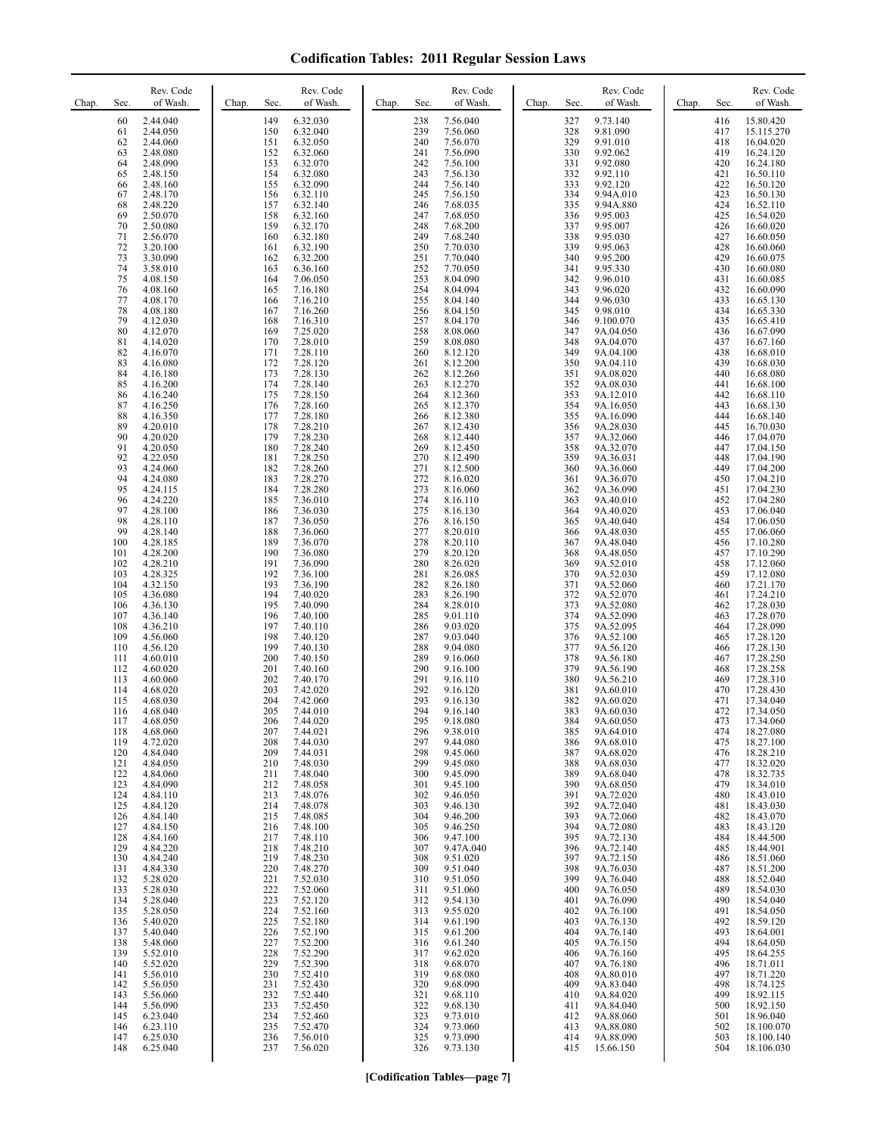| Chap.<br>Sec.                                                             | Rev. Code<br>of Wash.                                                                                                            | Chap.<br>Sec.                                                             | Rev. Code<br>of Wash.                                                                                                            | Chap. | Sec.                                                                      | Rev. Code<br>of Wash.                                                                                                             | Chap. | Sec.                                                                      | Rev. Code<br>of Wash.                                                                                                                       | Chap. | Sec.                                                                      | Rev. Code<br>of Wash.                                                                                                                          |
|---------------------------------------------------------------------------|----------------------------------------------------------------------------------------------------------------------------------|---------------------------------------------------------------------------|----------------------------------------------------------------------------------------------------------------------------------|-------|---------------------------------------------------------------------------|-----------------------------------------------------------------------------------------------------------------------------------|-------|---------------------------------------------------------------------------|---------------------------------------------------------------------------------------------------------------------------------------------|-------|---------------------------------------------------------------------------|------------------------------------------------------------------------------------------------------------------------------------------------|
| 60<br>61<br>62<br>63<br>64<br>65<br>66<br>67<br>68                        | 2.44.040<br>2.44.050<br>2.44.060<br>2.48.080<br>2.48.090<br>2.48.150<br>2.48.160<br>2.48.170<br>2.48.220                         | 149<br>150<br>151<br>152<br>153<br>154<br>155<br>156<br>157               | 6.32.030<br>6.32.040<br>6.32.050<br>6.32.060<br>6.32.070<br>6.32.080<br>6.32.090<br>6.32.110<br>6.32.140                         |       | 238<br>239<br>240<br>241<br>242<br>243<br>244<br>245<br>246               | 7.56.040<br>7.56.060<br>7.56.070<br>7.56.090<br>7.56.100<br>7.56.130<br>7.56.140<br>7.56.150<br>7.68.035                          |       | 327<br>328<br>329<br>330<br>331<br>332<br>333<br>334<br>335               | 9.73.140<br>9.81.090<br>9.91.010<br>9.92.062<br>9.92.080<br>9.92.110<br>9.92.120<br>9.94A.010<br>9.94A.880                                  |       | 416<br>417<br>418<br>419<br>420<br>421<br>422<br>423<br>424               | 15.80.420<br>15.115.270<br>16.04.020<br>16.24.120<br>16.24.180<br>16.50.110<br>16.50.120<br>16.50.130<br>16.52.110                             |
| 69<br>70<br>71<br>72<br>73<br>74<br>75<br>76<br>77<br>78                  | 2.50.070<br>2.50.080<br>2.56.070<br>3.20.100<br>3.30.090<br>3.58.010<br>4.08.150<br>4.08.160<br>4.08.170<br>4.08.180             | 158<br>159<br>160<br>161<br>162<br>163<br>164<br>165<br>166<br>167        | 6.32.160<br>6.32.170<br>6.32.180<br>6.32.190<br>6.32.200<br>6.36.160<br>7.06.050<br>7.16.180<br>7.16.210<br>7.16.260             |       | 247<br>248<br>249<br>250<br>251<br>252<br>253<br>254<br>255<br>256        | 7.68.050<br>7.68.200<br>7.68.240<br>7.70.030<br>7.70.040<br>7.70.050<br>8.04.090<br>8.04.094<br>8.04.140<br>8.04.150              |       | 336<br>337<br>338<br>339<br>340<br>341<br>342<br>343<br>344<br>345        | 9.95.003<br>9.95.007<br>9.95.030<br>9.95.063<br>9.95.200<br>9.95.330<br>9.96.010<br>9.96.020<br>9.96.030<br>9.98.010                        |       | 425<br>426<br>427<br>428<br>429<br>430<br>431<br>432<br>433<br>434        | 16.54.020<br>16.60.020<br>16.60.050<br>16.60.060<br>16.60.075<br>16.60.080<br>16.60.085<br>16.60.090<br>16.65.130<br>16.65.330                 |
| 79<br>80<br>81<br>82<br>83<br>84<br>85<br>86<br>87                        | 4.12.030<br>4.12.070<br>4.14.020<br>4.16.070<br>4.16.080<br>4.16.180<br>4.16.200<br>4.16.240<br>4.16.250                         | 168<br>169<br>170<br>171<br>172<br>173<br>174<br>175<br>176               | 7.16.310<br>7.25.020<br>7.28.010<br>7.28.110<br>7.28.120<br>7.28.130<br>7.28.140<br>7.28.150<br>7.28.160                         |       | 257<br>258<br>259<br>260<br>261<br>262<br>263<br>264<br>265               | 8.04.170<br>8.08.060<br>8.08.080<br>8.12.120<br>8.12.200<br>8.12.260<br>8.12.270<br>8.12.360<br>8.12.370                          |       | 346<br>347<br>348<br>349<br>350<br>351<br>352<br>353<br>354               | 9.100.070<br>9A.04.050<br>9A.04.070<br>9A.04.100<br>9A.04.110<br>9A.08.020<br>9A.08.030<br>9A.12.010<br>9A.16.050                           |       | 435<br>436<br>437<br>438<br>439<br>440<br>441<br>442<br>443               | 16.65.410<br>16.67.090<br>16.67.160<br>16.68.010<br>16.68.030<br>16.68.080<br>16.68.100<br>16.68.110<br>16.68.130                              |
| 88<br>89<br>90<br>91<br>92<br>93<br>94<br>95<br>96<br>97                  | 4.16.350<br>4.20.010<br>4.20.020<br>4.20.050<br>4.22.050<br>4.24.060<br>4.24.080<br>4.24.115<br>4.24.220<br>4.28.100             | 177<br>178<br>179<br>180<br>181<br>182<br>183<br>184<br>185<br>186        | 7.28.180<br>7.28.210<br>7.28.230<br>7.28.240<br>7.28.250<br>7.28.260<br>7.28.270<br>7.28.280<br>7.36.010<br>7.36.030             |       | 266<br>267<br>268<br>269<br>270<br>271<br>272<br>273<br>274<br>275        | 8.12.380<br>8.12.430<br>8.12.440<br>8.12.450<br>8.12.490<br>8.12.500<br>8.16.020<br>8.16.060<br>8.16.110<br>8.16.130              |       | 355<br>356<br>357<br>358<br>359<br>360<br>361<br>362<br>363<br>364        | 9A.16.090<br>9A.28.030<br>9A.32.060<br>9A.32.070<br>9A.36.031<br>9A.36.060<br>9A.36.070<br>9A.36.090<br>9A.40.010<br>9A.40.020              |       | 444<br>445<br>446<br>447<br>448<br>449<br>450<br>451<br>452<br>453        | 16.68.140<br>16.70.030<br>17.04.070<br>17.04.150<br>17.04.190<br>17.04.200<br>17.04.210<br>17.04.230<br>17.04.280<br>17.06.040                 |
| 98<br>99<br>100<br>101<br>102<br>103<br>104<br>105<br>106                 | 4.28.110<br>4.28.140<br>4.28.185<br>4.28.200<br>4.28.210<br>4.28.325<br>4.32.150<br>4.36.080<br>4.36.130                         | 187<br>188<br>189<br>190<br>191<br>192<br>193<br>194<br>195               | 7.36.050<br>7.36.060<br>7.36.070<br>7.36.080<br>7.36.090<br>7.36.100<br>7.36.190<br>7.40.020<br>7.40.090                         |       | 276<br>277<br>278<br>279<br>280<br>281<br>282<br>283<br>284               | 8.16.150<br>8.20.010<br>8.20.110<br>8.20.120<br>8.26.020<br>8.26.085<br>8.26.180<br>8.26.190<br>8.28.010                          |       | 365<br>366<br>367<br>368<br>369<br>370<br>371<br>372<br>373               | 9A.40.040<br>9A.48.030<br>9A.48.040<br>9A.48.050<br>9A.52.010<br>9A.52.030<br>9A.52.060<br>9A.52.070<br>9A.52.080                           |       | 454<br>455<br>456<br>457<br>458<br>459<br>460<br>461<br>462               | 17.06.050<br>17.06.060<br>17.10.280<br>17.10.290<br>17.12.060<br>17.12.080<br>17.21.170<br>17.24.210<br>17.28.030                              |
| 107<br>108<br>109<br>110<br>111<br>112<br>113<br>114<br>115               | 4.36.140<br>4.36.210<br>4.56.060<br>4.56.120<br>4.60.010<br>4.60.020<br>4.60.060<br>4.68.020<br>4.68.030                         | 196<br>197<br>198<br>199<br>200<br>201<br>202<br>203<br>204               | 7.40.100<br>7.40.110<br>7.40.120<br>7.40.130<br>7.40.150<br>7.40.160<br>7.40.170<br>7.42.020<br>7.42.060                         |       | 285<br>286<br>287<br>288<br>289<br>290<br>291<br>292<br>293               | 9.01.110<br>9.03.020<br>9.03.040<br>9.04.080<br>9.16.060<br>9.16.100<br>9.16.110<br>9.16.120<br>9.16.130                          |       | 374<br>375<br>376<br>377<br>378<br>379<br>380<br>381<br>382               | 9A.52.090<br>9A.52.095<br>9A.52.100<br>9A.56.120<br>9A.56.180<br>9A.56.190<br>9A.56.210<br>9A.60.010<br>9A.60.020                           |       | 463<br>464<br>465<br>466<br>467<br>468<br>469<br>470<br>471               | 17.28.070<br>17.28.090<br>17.28.120<br>17.28.130<br>17.28.250<br>17.28.258<br>17.28.310<br>17.28.430<br>17.34.040                              |
| 116<br>117<br>118<br>119<br>120<br>121<br>122<br>123<br>124<br>125<br>126 | 4.68.040<br>4.68.050<br>4.68.060<br>4.72.020<br>4.84.040<br>4.84.050<br>4.84.060<br>4.84.090<br>4.84.110<br>4.84.120<br>4.84.140 | 205<br>206<br>207<br>208<br>209<br>210<br>211<br>212<br>213<br>214<br>215 | 7.44.010<br>7.44.020<br>7.44.021<br>7.44.030<br>7.44.031<br>7.48.030<br>7.48.040<br>7.48.058<br>7.48.076<br>7.48.078<br>7.48.085 |       | 294<br>295<br>296<br>297<br>298<br>299<br>300<br>301<br>302<br>303<br>304 | 9.16.140<br>9.18.080<br>9.38.010<br>9.44.080<br>9.45.060<br>9.45.080<br>9.45.090<br>9.45.100<br>9.46.050<br>9.46.130<br>9.46.200  |       | 383<br>384<br>385<br>386<br>387<br>388<br>389<br>390<br>391<br>392<br>393 | 9A.60.030<br>9A.60.050<br>9A.64.010<br>9A.68.010<br>9A.68.020<br>9A.68.030<br>9A.68.040<br>9A.68.050<br>9A.72.020<br>9A.72.040<br>9A.72.060 |       | 472<br>473<br>474<br>475<br>476<br>477<br>478<br>479<br>480<br>481<br>482 | 17.34.050<br>17.34.060<br>18.27.080<br>18.27.100<br>18.28.210<br>18.32.020<br>18.32.735<br>18.34.010<br>18.43.010<br>18.43.030<br>18.43.070    |
| 127<br>128<br>129<br>130<br>131<br>132<br>133<br>134<br>135<br>136<br>137 | 4.84.150<br>4.84.160<br>4.84.220<br>4.84.240<br>4.84.330<br>5.28.020<br>5.28.030<br>5.28.040<br>5.28.050<br>5.40.020<br>5.40.040 | 216<br>217<br>218<br>219<br>220<br>221<br>222<br>223<br>224<br>225<br>226 | 7.48.100<br>7.48.110<br>7.48.210<br>7.48.230<br>7.48.270<br>7.52.030<br>7.52.060<br>7.52.120<br>7.52.160<br>7.52.180<br>7.52.190 |       | 305<br>306<br>307<br>308<br>309<br>310<br>311<br>312<br>313<br>314<br>315 | 9.46.250<br>9.47.100<br>9.47A.040<br>9.51.020<br>9.51.040<br>9.51.050<br>9.51.060<br>9.54.130<br>9.55.020<br>9.61.190<br>9.61.200 |       | 394<br>395<br>396<br>397<br>398<br>399<br>400<br>401<br>402<br>403<br>404 | 9A.72.080<br>9A.72.130<br>9A.72.140<br>9A.72.150<br>9A.76.030<br>9A.76.040<br>9A.76.050<br>9A.76.090<br>9A.76.100<br>9A.76.130<br>9A.76.140 |       | 483<br>484<br>485<br>486<br>487<br>488<br>489<br>490<br>491<br>492<br>493 | 18.43.120<br>18.44.500<br>18.44.901<br>18.51.060<br>18.51.200<br>18.52.040<br>18.54.030<br>18.54.040<br>18.54.050<br>18.59.120<br>18.64.001    |
| 138<br>139<br>140<br>141<br>142<br>143<br>144<br>145<br>146<br>147<br>148 | 5.48.060<br>5.52.010<br>5.52.020<br>5.56.010<br>5.56.050<br>5.56.060<br>5.56.090<br>6.23.040<br>6.23.110<br>6.25.030<br>6.25.040 | 227<br>228<br>229<br>230<br>231<br>232<br>233<br>234<br>235<br>236<br>237 | 7.52.200<br>7.52.290<br>7.52.390<br>7.52.410<br>7.52.430<br>7.52.440<br>7.52.450<br>7.52.460<br>7.52.470<br>7.56.010<br>7.56.020 |       | 316<br>317<br>318<br>319<br>320<br>321<br>322<br>323<br>324<br>325<br>326 | 9.61.240<br>9.62.020<br>9.68.070<br>9.68.080<br>9.68.090<br>9.68.110<br>9.68.130<br>9.73.010<br>9.73.060<br>9.73.090<br>9.73.130  |       | 405<br>406<br>407<br>408<br>409<br>410<br>411<br>412<br>413<br>414<br>415 | 9A.76.150<br>9A.76.160<br>9A.76.180<br>9A.80.010<br>9A.83.040<br>9A.84.020<br>9A.84.040<br>9A.88.060<br>9A.88.080<br>9A.88.090<br>15.66.150 |       | 494<br>495<br>496<br>497<br>498<br>499<br>500<br>501<br>502<br>503<br>504 | 18.64.050<br>18.64.255<br>18.71.011<br>18.71.220<br>18.74.125<br>18.92.115<br>18.92.150<br>18.96.040<br>18.100.070<br>18.100.140<br>18.106.030 |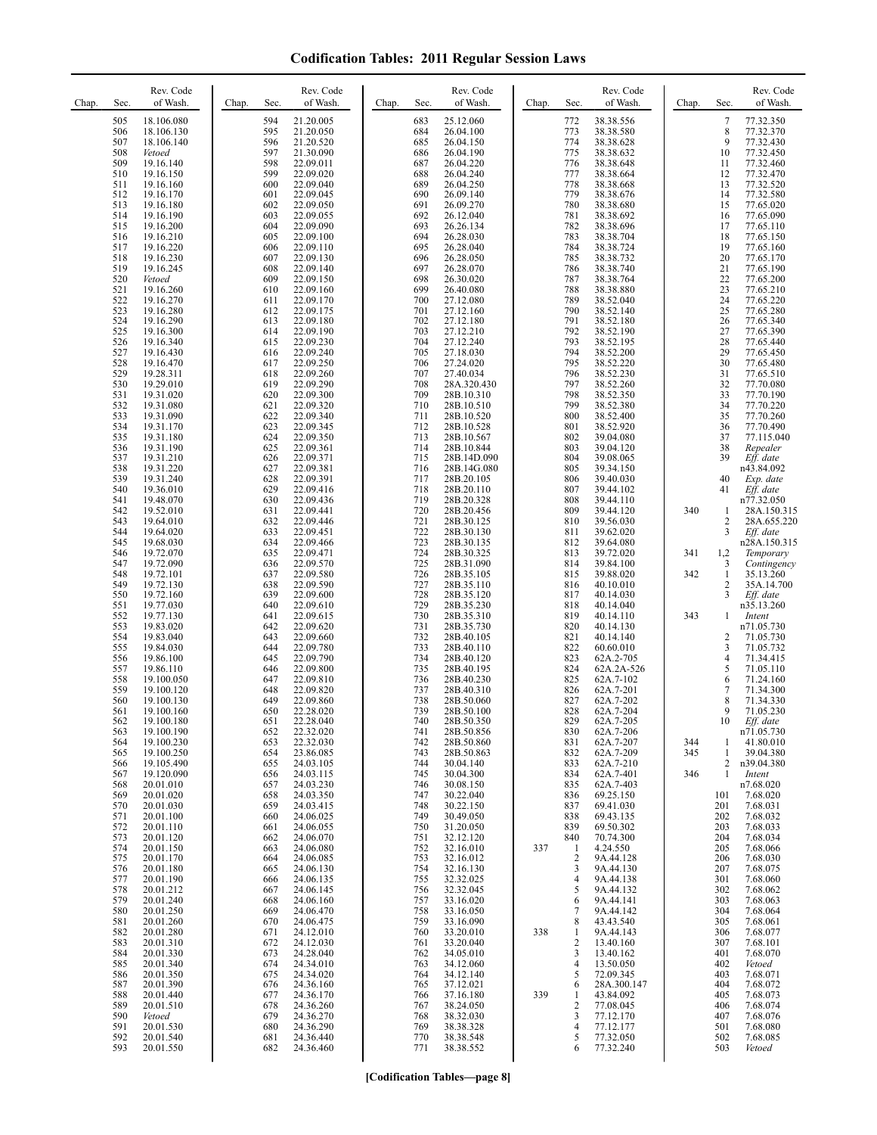| 505<br>18.106.080<br>594<br>21.20.005<br>683<br>25.12.060<br>38.38.556<br>772<br>506<br>18.106.130<br>595<br>21.20.050<br>684<br>26.04.100<br>773<br>38.38.580<br>774<br>507<br>21.20.520<br>685<br>26.04.150<br>38.38.628<br>18.106.140<br>596<br>597<br>775<br>508<br>686<br>26.04.190<br>38.38.632<br>Vetoed<br>21.30.090<br>509<br>598<br>687<br>26.04.220<br>776<br>38.38.648<br>19.16.140<br>22.09.011<br>777<br>510<br>599<br>22.09.020<br>688<br>26.04.240<br>19.16.150<br>38.38.664<br>600<br>689<br>26.04.250<br>778<br>38.38.668<br>511<br>19.16.160<br>22.09.040<br>22.09.045<br>690<br>26.09.140<br>779<br>512<br>19.16.170<br>601<br>38.38.676<br>780<br>513<br>19.16.180<br>602<br>22.09.050<br>691<br>26.09.270<br>38.38.680<br>514<br>603<br>692<br>26.12.040<br>781<br>19.16.190<br>22.09.055<br>38.38.692<br>604<br>22.09.090<br>693<br>26.26.134<br>782<br>38.38.696<br>515<br>19.16.200<br>694<br>26.28.030<br>783<br>516<br>19.16.210<br>605<br>22.09.100<br>38.38.704<br>695<br>784<br>517<br>19.16.220<br>606<br>22.09.110<br>26.28.040<br>38.38.724                                                                                                                                                                                                                                                                                                                                                                                                                                                                                                                                                                                                                                                                                                                                                                                                                                                                                                                                                                                                                                                                                                                                                                                                                                                                                                                                                                                                                                                                                                                                                                                                                                                                                                                                                                                                                                                                                                                                                                                                                                                                                                                                                                                                                                                                                                                                                                                                                                                                                                                                                                                                                                                                                                                                                                                                                                                                                                                                                                                                                                                                                                                                                                                                                                                                                                                                                                                                                                                                                                                                                                                                                                                                                                                                                                                                                                                                                                                                                                                                                                                                                                                                                                                                                                                                                                                                                                                                                                                                                                                                                                                                                                                                                                                                                                                                                                                                                                                                                                                                                                                                                                                                                                                                                                  | 7<br>77.32.350<br>8<br>77.32.370<br>9<br>77.32.430<br>10<br>77.32.450<br>77.32.460<br>11<br>12<br>77.32.470<br>13<br>77.32.520                                                                                                                                                                                                                                                                                                                                                                                                                                                                                                                                                                                                                                                                                                                                                                                                                                                                                                                                                                                                                                                                                                                                                                                                                                                                                                                                                                                                                |
|---------------------------------------------------------------------------------------------------------------------------------------------------------------------------------------------------------------------------------------------------------------------------------------------------------------------------------------------------------------------------------------------------------------------------------------------------------------------------------------------------------------------------------------------------------------------------------------------------------------------------------------------------------------------------------------------------------------------------------------------------------------------------------------------------------------------------------------------------------------------------------------------------------------------------------------------------------------------------------------------------------------------------------------------------------------------------------------------------------------------------------------------------------------------------------------------------------------------------------------------------------------------------------------------------------------------------------------------------------------------------------------------------------------------------------------------------------------------------------------------------------------------------------------------------------------------------------------------------------------------------------------------------------------------------------------------------------------------------------------------------------------------------------------------------------------------------------------------------------------------------------------------------------------------------------------------------------------------------------------------------------------------------------------------------------------------------------------------------------------------------------------------------------------------------------------------------------------------------------------------------------------------------------------------------------------------------------------------------------------------------------------------------------------------------------------------------------------------------------------------------------------------------------------------------------------------------------------------------------------------------------------------------------------------------------------------------------------------------------------------------------------------------------------------------------------------------------------------------------------------------------------------------------------------------------------------------------------------------------------------------------------------------------------------------------------------------------------------------------------------------------------------------------------------------------------------------------------------------------------------------------------------------------------------------------------------------------------------------------------------------------------------------------------------------------------------------------------------------------------------------------------------------------------------------------------------------------------------------------------------------------------------------------------------------------------------------------------------------------------------------------------------------------------------------------------------------------------------------------------------------------------------------------------------------------------------------------------------------------------------------------------------------------------------------------------------------------------------------------------------------------------------------------------------------------------------------------------------------------------------------------------------------------------------------------------------------------------------------------------------------------------------------------------------------------------------------------------------------------------------------------------------------------------------------------------------------------------------------------------------------------------------------------------------------------------------------------------------------------------------------------------------------------------------------------------------------------------------------------------------------------------------------------------------------------------------------------------------------------------------------------------------------------------------------------------------------------------------------------------------------------------------------------------------------------------------------------------------------------------------------------------------------------------------------------------------------------------------------------------------------------------------------------------------------------------------------------------------------------------------------------------------------------------------------------------------------------------------------------------------------------------------------------------------------------------------------------------------------------------------------------------------------------------------------------------------------------------------------------------------------------------------------------------------------------------------------------------------------------------------------------------------------------------------------------------------------------------------------------------------------------------------------------------------------------------------------------------------------------------------------------------------------------------------------------------|-----------------------------------------------------------------------------------------------------------------------------------------------------------------------------------------------------------------------------------------------------------------------------------------------------------------------------------------------------------------------------------------------------------------------------------------------------------------------------------------------------------------------------------------------------------------------------------------------------------------------------------------------------------------------------------------------------------------------------------------------------------------------------------------------------------------------------------------------------------------------------------------------------------------------------------------------------------------------------------------------------------------------------------------------------------------------------------------------------------------------------------------------------------------------------------------------------------------------------------------------------------------------------------------------------------------------------------------------------------------------------------------------------------------------------------------------------------------------------------------------------------------------------------------------|
| 518<br>696<br>26.28.050<br>785<br>19.16.230<br>607<br>22.09.130<br>38.38.732<br>519<br>697<br>786<br>19.16.245<br>608<br>22.09.140<br>26.28.070<br>38.38.740<br>787<br>520<br>609<br>22.09.150<br>698<br>26.30.020<br>38.38.764<br>Vetoed<br>699<br>788<br>521<br>19.16.260<br>610<br>22.09.160<br>26.40.080<br>38.38.880<br>522<br>19.16.270<br>22.09.170<br>700<br>27.12.080<br>789<br>38.52.040<br>611<br>523<br>701<br>790<br>19.16.280<br>612<br>22.09.175<br>27.12.160<br>38.52.140<br>524<br>22.09.180<br>702<br>27.12.180<br>791<br>19.16.290<br>613<br>38.52.180<br>792<br>525<br>22.09.190<br>703<br>27.12.210<br>38.52.190<br>19.16.300<br>614<br>704<br>793<br>526<br>19.16.340<br>615<br>22.09.230<br>27.12.240<br>38.52.195<br>705<br>794<br>527<br>27.18.030<br>38.52.200<br>19.16.430<br>616<br>22.09.240<br>706<br>795<br>528<br>19.16.470<br>22.09.250<br>27.24.020<br>38.52.220<br>617<br>707<br>796<br>529<br>38.52.230<br>19.28.311<br>618<br>22.09.260<br>27.40.034<br>708<br>797<br>530<br>19.29.010<br>619<br>22.09.290<br>28A.320.430<br>38.52.260<br>798<br>531<br>620<br>22.09.300<br>709<br>38.52.350<br>19.31.020<br>28B.10.310<br>799<br>532<br>621<br>22.09.320<br>710<br>19.31.080<br>28B.10.510<br>38.52.380<br>533<br>622<br>22.09.340<br>711<br>800<br>38.52.400<br>19.31.090<br>28B.10.520<br>534<br>623<br>22.09.345<br>712<br>801<br>19.31.170<br>28B.10.528<br>38.52.920<br>535<br>624<br>22.09.350<br>713<br>802<br>19.31.180<br>28B.10.567<br>39.04.080<br>714<br>803<br>536<br>19.31.190<br>625<br>22.09.361<br>28B.10.844<br>39.04.120<br>715<br>804<br>537<br>19.31.210<br>626<br>22.09.371<br>28B.14D.090<br>39.08.065<br>538<br>627<br>716<br>28B.14G.080<br>805<br>19.31.220<br>22.09.381<br>39.34.150<br>539<br>717<br>806<br>628<br>22.09.391<br>28B.20.105<br>39.40.030<br>19.31.240<br>540<br>629<br>22.09.416<br>718<br>28B.20.110<br>807<br>19.36.010<br>39.44.102<br>541<br>719<br>808<br>19.48.070<br>630<br>22.09.436<br>28B.20.328<br>39.44.110<br>631<br>22.09.441<br>720<br>28B.20.456<br>809<br>542<br>19.52.010<br>39.44.120<br>340<br>543<br>721<br>810<br>19.64.010<br>632<br>22.09.446<br>28B.30.125<br>39.56.030<br>544<br>633<br>722<br>19.64.020<br>22.09.451<br>28B.30.130<br>811<br>39.62.020<br>545<br>634<br>22.09.466<br>723<br>28B.30.135<br>812<br>19.68.030<br>39.64.080<br>724<br>546<br>19.72.070<br>635<br>22.09.471<br>28B.30.325<br>813<br>39.72.020<br>341<br>547<br>725<br>19.72.090<br>636<br>22.09.570<br>28B.31.090<br>814<br>39.84.100<br>726<br>342<br>548<br>637<br>22.09.580<br>28B.35.105<br>815<br>39.88.020<br>19.72.101<br>727<br>549<br>28B.35.110<br>19.72.130<br>638<br>22.09.590<br>816<br>40.10.010<br>728<br>550<br>639<br>817<br>19.72.160<br>22.09.600<br>28B.35.120<br>40.14.030<br>729<br>551<br>19.77.030<br>640<br>28B.35.230<br>22.09.610<br>818<br>40.14.040<br>552<br>730<br>819<br>343<br>641<br>22.09.615<br>28B.35.310<br>40.14.110<br>19.77.130<br>553<br>731<br>820<br>19.83.020<br>642<br>22.09.620<br>28B.35.730<br>40.14.130<br>554<br>643<br>732<br>821<br>19.83.040<br>22.09.660<br>28B.40.105<br>40.14.140<br>555<br>644<br>22.09.780<br>733<br>822<br>19.84.030<br>28B.40.110<br>60.60.010<br>556<br>734<br>823<br>19.86.100<br>645<br>22.09.790<br>28B.40.120<br>62A.2-705<br>735<br>824<br>557<br>19.86.110<br>646<br>22.09.800<br>28B.40.195<br>62A.2A-526<br>558<br>736<br>825<br>62A.7-102<br>19.100.050<br>647<br>22.09.810<br>28B.40.230<br>559<br>737<br>648<br>22.09.820<br>28B.40.310<br>826<br>62A.7-201<br>19.100.120<br>560<br>738<br>28B.50.060<br>827<br>19.100.130<br>649<br>22.09.860<br>62A.7-202<br>739<br>828<br>561<br>650<br>22.28.020<br>62A.7-204<br>19.100.160<br>28B.50.100<br>562<br>19.100.180<br>651<br>22.28.040<br>740<br>28B.50.350<br>829<br>62A.7-205<br>563<br>19.100.190<br>652<br>22.32.020<br>741<br>28B.50.856<br>830<br>62A.7-206<br>19.100.230<br>22.32.030<br>831<br>62A.7-207<br>564<br>653<br>742<br>28B.50.860<br>344<br>19.100.250<br>62A.7-209<br>565<br>654<br>23.86.085<br>743<br>28B.50.863<br>832<br>345<br>62A.7-210<br>566<br>19.105.490<br>655<br>24.03.105<br>744<br>30.04.140<br>833<br>567<br>19.120.090<br>24.03.115<br>30.04.300<br>834<br>62A.7-401<br>656<br>745<br>346<br>568<br>30.08.150<br>20.01.010<br>24.03.230<br>746<br>835<br>62A.7-403<br>657<br>30.22.040<br>569<br>20.01.020<br>69.25.150<br>658<br>24.03.350<br>747<br>836<br>570<br>20.01.030<br>69.41.030<br>659<br>24.03.415<br>748<br>30.22.150<br>837<br>571<br>30.49.050<br>838<br>69.43.135<br>20.01.100<br>660<br>24.06.025<br>749<br>572<br>750<br>31.20.050<br>839<br>69.50.302<br>20.01.110<br>24.06.055<br>661<br>20.01.120<br>32.12.120<br>70.74.300<br>573<br>662<br>24.06.070<br>751<br>840<br>574<br>20.01.150<br>752<br>32.16.010<br>337<br>4.24.550<br>663<br>24.06.080<br>-1<br>575<br>20.01.170<br>753<br>32.16.012<br>$\overline{2}$<br>9A.44.128<br>664<br>24.06.085<br>576<br>754<br>32.16.130<br>9A.44.130<br>20.01.180<br>665<br>24.06.130<br>3<br>577<br>32.32.025<br>20.01.190<br>666<br>24.06.135<br>755<br>$\overline{4}$<br>9A.44.138<br>32.32.045<br>9A.44.132<br>578<br>20.01.212<br>5<br>24.06.145<br>756<br>667<br>579<br>20.01.240<br>668<br>24.06.160<br>757<br>33.16.020<br>9A.44.141<br>6<br>9A.44.142<br>580<br>20.01.250<br>758<br>33.16.050<br>669<br>24.06.470<br>7<br>581<br>20.01.260<br>759<br>33.16.090<br>43.43.540<br>670<br>24.06.475<br>8<br>582<br>20.01.280<br>24.12.010<br>33.20.010<br>9A.44.143<br>671<br>760<br>338<br>1<br>583<br>20.01.310<br>24.12.030<br>33.20.040<br>13.40.160<br>672<br>761<br>2<br>584<br>20.01.330<br>24.28.040<br>34.05.010<br>13.40.162<br>673<br>762<br>3<br>585<br>20.01.340<br>24.34.010<br>763<br>34.12.060<br>13.50.050<br>674<br>$\overline{4}$<br>586<br>34.12.140<br>72.09.345<br>20.01.350<br>675<br>24.34.020<br>764<br>5<br>37.12.021<br>587<br>20.01.390<br>28A.300.147<br>676<br>24.36.160<br>765<br>6<br>339<br>588<br>20.01.440<br>37.16.180<br>43.84.092<br>677<br>24.36.170<br>766<br>1<br>589<br>38.24.050<br>$\overline{2}$<br>77.08.045<br>20.01.510<br>678<br>24.36.260<br>767<br>590<br>768<br>3<br>Vetoed<br>679<br>24.36.270<br>38.32.030<br>77.12.170<br>591<br>38.38.328<br>77.12.177<br>20.01.530<br>680<br>24.36.290<br>769<br>$\overline{4}$ | 14<br>77.32.580<br>15<br>77.65.020<br>77.65.090<br>16<br>17<br>77.65.110<br>18<br>77.65.150<br>19<br>77.65.160<br>20<br>77.65.170<br>21<br>77.65.190<br>22<br>77.65.200<br>23<br>77.65.210<br>24<br>77.65.220<br>25<br>77.65.280<br>26<br>77.65.340<br>27<br>77.65.390<br>28<br>77.65.440<br>29<br>77.65.450<br>30<br>77.65.480<br>31<br>77.65.510<br>32<br>77.70.080<br>33<br>77.70.190<br>34<br>77.70.220<br>35<br>77.70.260<br>36<br>77.70.490<br>37<br>77.115.040<br>38<br>Repealer<br>39<br>Eff. date<br>n43.84.092<br>40<br>Exp. date<br>Eff. date<br>41<br>n77.32.050<br>28A.150.315<br>1<br>2<br>28A.655.220<br>3<br>Eff. date<br>n28A.150.315<br>1,2<br>Temporary<br>3<br>Contingency<br>$\mathbf{1}$<br>35.13.260<br>2<br>35A.14.700<br>3<br>Eff. date<br>n35.13.260<br>1<br>Intent<br>n71.05.730<br>2<br>71.05.730<br>3<br>71.05.732<br>4<br>71.34.415<br>5<br>71.05.110<br>6<br>71.24.160<br>7<br>71.34.300<br>8<br>71.34.330<br>9<br>71.05.230<br>10<br>Eff. date<br>n71.05.730<br>41.80.010<br>1<br>$\mathbf{1}$<br>39.04.380<br>2<br>n39.04.380<br>1<br>Intent<br>n7.68.020<br>7.68.020<br>101<br>201<br>7.68.031<br>202<br>7.68.032<br>203<br>7.68.033<br>204<br>7.68.034<br>205<br>7.68.066<br>206<br>7.68.030<br>207<br>7.68.075<br>301<br>7.68.060<br>302<br>7.68.062<br>303<br>7.68.063<br>304<br>7.68.064<br>305<br>7.68.061<br>7.68.077<br>306<br>307<br>7.68.101<br>401<br>7.68.070<br>402<br>Vetoed<br>403<br>7.68.071<br>404<br>7.68.072<br>405<br>7.68.073<br>7.68.074<br>406<br>407<br>7.68.076<br>501<br>7.68.080 |